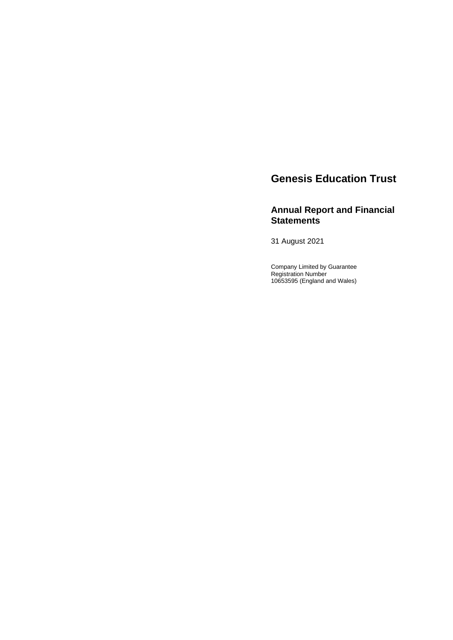# **Genesis Education Trust**

## **Annual Report and Financial Statements**

31 August 2021

Company Limited by Guarantee Registration Number 10653595 (England and Wales)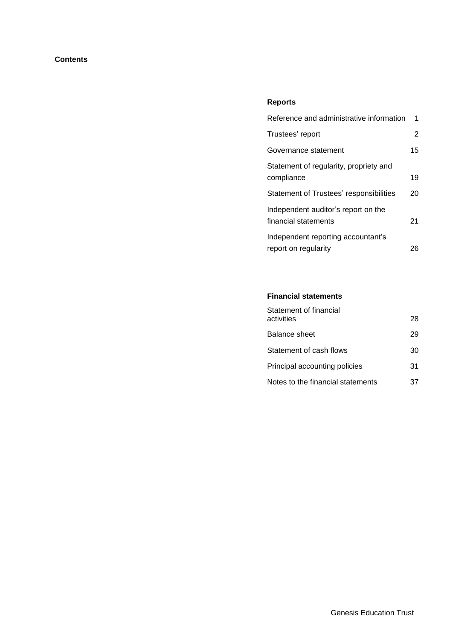## **Contents**

## **Reports**

| Reference and administrative information                    | 1  |
|-------------------------------------------------------------|----|
| Trustees' report                                            | 2  |
| Governance statement                                        | 15 |
| Statement of regularity, propriety and<br>compliance        | 19 |
| Statement of Trustees' responsibilities                     | 20 |
| Independent auditor's report on the<br>financial statements | 21 |
| Independent reporting accountant's<br>report on regularity  | 26 |

## **Financial statements**

| Statement of financial<br>activities | 28 |
|--------------------------------------|----|
| <b>Balance sheet</b>                 | 29 |
| Statement of cash flows              | 30 |
| Principal accounting policies        | 31 |
| Notes to the financial statements    | 37 |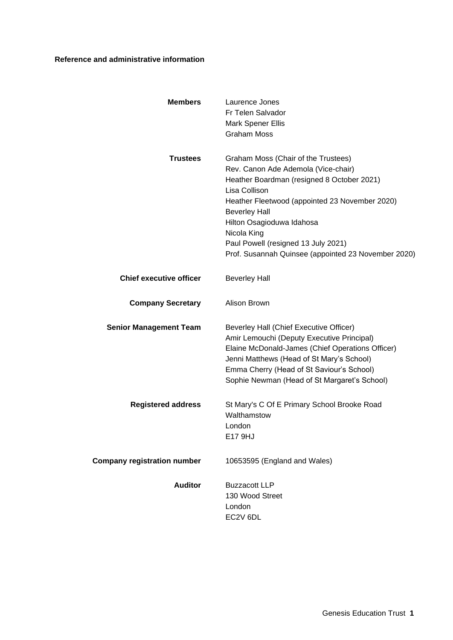## **Reference and administrative information**

| <b>Members</b>                     | Laurence Jones<br>Fr Telen Salvador<br><b>Mark Spener Ellis</b><br><b>Graham Moss</b>                                                                                                                                                                                                                                                                         |
|------------------------------------|---------------------------------------------------------------------------------------------------------------------------------------------------------------------------------------------------------------------------------------------------------------------------------------------------------------------------------------------------------------|
| <b>Trustees</b>                    | Graham Moss (Chair of the Trustees)<br>Rev. Canon Ade Ademola (Vice-chair)<br>Heather Boardman (resigned 8 October 2021)<br>Lisa Collison<br>Heather Fleetwood (appointed 23 November 2020)<br><b>Beverley Hall</b><br>Hilton Osagioduwa Idahosa<br>Nicola King<br>Paul Powell (resigned 13 July 2021)<br>Prof. Susannah Quinsee (appointed 23 November 2020) |
| <b>Chief executive officer</b>     | <b>Beverley Hall</b>                                                                                                                                                                                                                                                                                                                                          |
| <b>Company Secretary</b>           | Alison Brown                                                                                                                                                                                                                                                                                                                                                  |
| <b>Senior Management Team</b>      | Beverley Hall (Chief Executive Officer)<br>Amir Lemouchi (Deputy Executive Principal)<br>Elaine McDonald-James (Chief Operations Officer)<br>Jenni Matthews (Head of St Mary's School)<br>Emma Cherry (Head of St Saviour's School)<br>Sophie Newman (Head of St Margaret's School)                                                                           |
| <b>Registered address</b>          | St Mary's C Of E Primary School Brooke Road<br>Walthamstow<br>London<br>E17 9HJ                                                                                                                                                                                                                                                                               |
| <b>Company registration number</b> | 10653595 (England and Wales)                                                                                                                                                                                                                                                                                                                                  |
| <b>Auditor</b>                     | <b>Buzzacott LLP</b><br>130 Wood Street<br>London<br>EC2V 6DL                                                                                                                                                                                                                                                                                                 |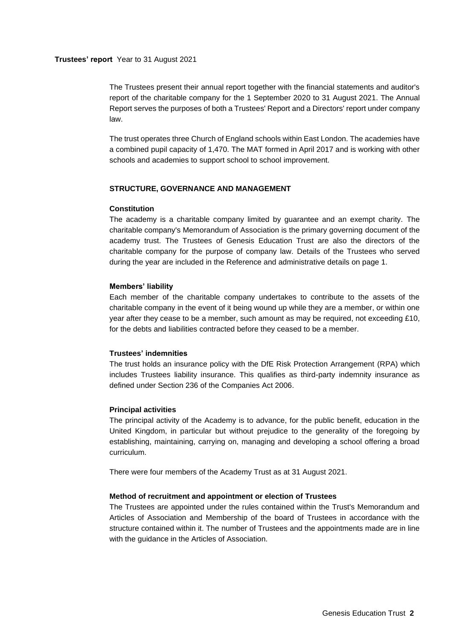#### **Trustees' report** Year to 31 August 2021

The Trustees present their annual report together with the financial statements and auditor's report of the charitable company for the 1 September 2020 to 31 August 2021. The Annual Report serves the purposes of both a Trustees' Report and a Directors' report under company law.

The trust operates three Church of England schools within East London. The academies have a combined pupil capacity of 1,470. The MAT formed in April 2017 and is working with other schools and academies to support school to school improvement.

## **STRUCTURE, GOVERNANCE AND MANAGEMENT**

#### **Constitution**

The academy is a charitable company limited by guarantee and an exempt charity. The charitable company's Memorandum of Association is the primary governing document of the academy trust. The Trustees of Genesis Education Trust are also the directors of the charitable company for the purpose of company law. Details of the Trustees who served during the year are included in the Reference and administrative details on page 1.

#### **Members' liability**

Each member of the charitable company undertakes to contribute to the assets of the charitable company in the event of it being wound up while they are a member, or within one year after they cease to be a member, such amount as may be required, not exceeding £10, for the debts and liabilities contracted before they ceased to be a member.

#### **Trustees' indemnities**

The trust holds an insurance policy with the DfE Risk Protection Arrangement (RPA) which includes Trustees liability insurance. This qualifies as third-party indemnity insurance as defined under Section 236 of the Companies Act 2006.

#### **Principal activities**

The principal activity of the Academy is to advance, for the public benefit, education in the United Kingdom, in particular but without prejudice to the generality of the foregoing by establishing, maintaining, carrying on, managing and developing a school offering a broad curriculum.

There were four members of the Academy Trust as at 31 August 2021.

#### **Method of recruitment and appointment or election of Trustees**

The Trustees are appointed under the rules contained within the Trust's Memorandum and Articles of Association and Membership of the board of Trustees in accordance with the structure contained within it. The number of Trustees and the appointments made are in line with the guidance in the Articles of Association.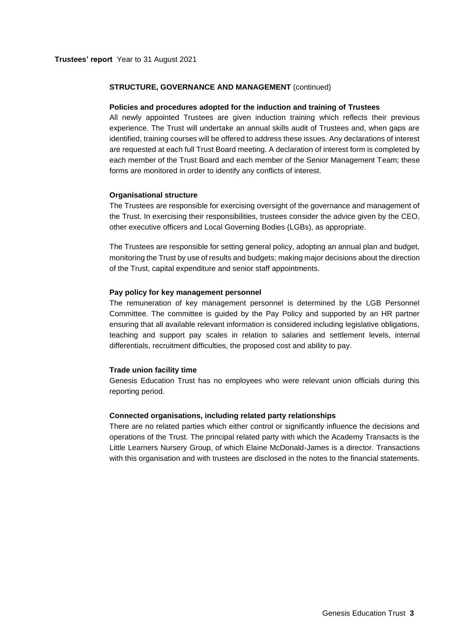#### **STRUCTURE, GOVERNANCE AND MANAGEMENT** (continued)

#### **Policies and procedures adopted for the induction and training of Trustees**

All newly appointed Trustees are given induction training which reflects their previous experience. The Trust will undertake an annual skills audit of Trustees and, when gaps are identified, training courses will be offered to address these issues. Any declarations of interest are requested at each full Trust Board meeting. A declaration of interest form is completed by each member of the Trust Board and each member of the Senior Management Team; these forms are monitored in order to identify any conflicts of interest.

#### **Organisational structure**

The Trustees are responsible for exercising oversight of the governance and management of the Trust. In exercising their responsibilities, trustees consider the advice given by the CEO, other executive officers and Local Governing Bodies (LGBs), as appropriate.

The Trustees are responsible for setting general policy, adopting an annual plan and budget, monitoring the Trust by use of results and budgets; making major decisions about the direction of the Trust, capital expenditure and senior staff appointments.

#### **Pay policy for key management personnel**

The remuneration of key management personnel is determined by the LGB Personnel Committee. The committee is guided by the Pay Policy and supported by an HR partner ensuring that all available relevant information is considered including legislative obligations, teaching and support pay scales in relation to salaries and settlement levels, internal differentials, recruitment difficulties, the proposed cost and ability to pay.

#### **Trade union facility time**

Genesis Education Trust has no employees who were relevant union officials during this reporting period.

#### **Connected organisations, including related party relationships**

There are no related parties which either control or significantly influence the decisions and operations of the Trust. The principal related party with which the Academy Transacts is the Little Learners Nursery Group, of which Elaine McDonald-James is a director. Transactions with this organisation and with trustees are disclosed in the notes to the financial statements.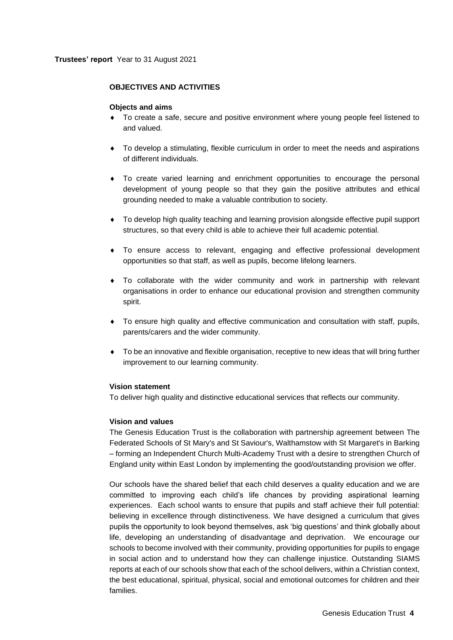## **OBJECTIVES AND ACTIVITIES**

#### **Objects and aims**

- To create a safe, secure and positive environment where young people feel listened to and valued.
- To develop a stimulating, flexible curriculum in order to meet the needs and aspirations of different individuals.
- To create varied learning and enrichment opportunities to encourage the personal development of young people so that they gain the positive attributes and ethical grounding needed to make a valuable contribution to society.
- To develop high quality teaching and learning provision alongside effective pupil support structures, so that every child is able to achieve their full academic potential.
- To ensure access to relevant, engaging and effective professional development opportunities so that staff, as well as pupils, become lifelong learners.
- To collaborate with the wider community and work in partnership with relevant organisations in order to enhance our educational provision and strengthen community spirit.
- To ensure high quality and effective communication and consultation with staff, pupils, parents/carers and the wider community.
- To be an innovative and flexible organisation, receptive to new ideas that will bring further improvement to our learning community.

## **Vision statement**

To deliver high quality and distinctive educational services that reflects our community.

#### **Vision and values**

The Genesis Education Trust is the collaboration with partnership agreement between The Federated Schools of St Mary's and St Saviour's, Walthamstow with St Margaret's in Barking – forming an Independent Church Multi-Academy Trust with a desire to strengthen Church of England unity within East London by implementing the good/outstanding provision we offer.

Our schools have the shared belief that each child deserves a quality education and we are committed to improving each child's life chances by providing aspirational learning experiences. Each school wants to ensure that pupils and staff achieve their full potential: believing in excellence through distinctiveness. We have designed a curriculum that gives pupils the opportunity to look beyond themselves, ask 'big questions' and think globally about life, developing an understanding of disadvantage and deprivation. We encourage our schools to become involved with their community, providing opportunities for pupils to engage in social action and to understand how they can challenge injustice. Outstanding SIAMS reports at each of our schools show that each of the school delivers, within a Christian context, the best educational, spiritual, physical, social and emotional outcomes for children and their families.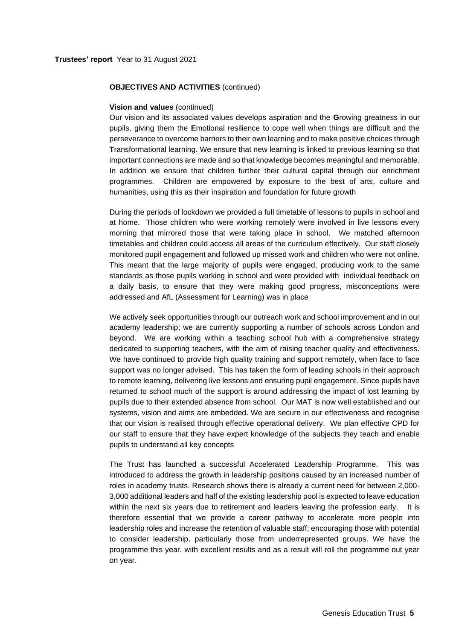#### **OBJECTIVES AND ACTIVITIES** (continued)

#### **Vision and values** (continued)

Our vision and its associated values develops aspiration and the **G**rowing greatness in our pupils, giving them the **E**motional resilience to cope well when things are difficult and the perseverance to overcome barriers to their own learning and to make positive choices through **T**ransformational learning. We ensure that new learning is linked to previous learning so that important connections are made and so that knowledge becomes meaningful and memorable. In addition we ensure that children further their cultural capital through our enrichment programmes. Children are empowered by exposure to the best of arts, culture and humanities, using this as their inspiration and foundation for future growth

During the periods of lockdown we provided a full timetable of lessons to pupils in school and at home. Those children who were working remotely were involved in live lessons every morning that mirrored those that were taking place in school. We matched afternoon timetables and children could access all areas of the curriculum effectively. Our staff closely monitored pupil engagement and followed up missed work and children who were not online. This meant that the large majority of pupils were engaged, producing work to the same standards as those pupils working in school and were provided with individual feedback on a daily basis, to ensure that they were making good progress, misconceptions were addressed and AfL (Assessment for Learning) was in place

We actively seek opportunities through our outreach work and school improvement and in our academy leadership; we are currently supporting a number of schools across London and beyond. We are working within a teaching school hub with a comprehensive strategy dedicated to supporting teachers, with the aim of raising teacher quality and effectiveness. We have continued to provide high quality training and support remotely, when face to face support was no longer advised. This has taken the form of leading schools in their approach to remote learning, delivering live lessons and ensuring pupil engagement. Since pupils have returned to school much of the support is around addressing the impact of lost learning by pupils due to their extended absence from school. Our MAT is now well established and our systems, vision and aims are embedded. We are secure in our effectiveness and recognise that our vision is realised through effective operational delivery. We plan effective CPD for our staff to ensure that they have expert knowledge of the subjects they teach and enable pupils to understand all key concepts

The Trust has launched a successful Accelerated Leadership Programme. This was introduced to address the growth in leadership positions caused by an increased number of roles in academy trusts. Research shows there is already a current need for between 2,000- 3,000 additional leaders and half of the existing leadership pool is expected to leave education within the next six years due to retirement and leaders leaving the profession early. It is therefore essential that we provide a career pathway to accelerate more people into leadership roles and increase the retention of valuable staff; encouraging those with potential to consider leadership, particularly those from underrepresented groups. We have the programme this year, with excellent results and as a result will roll the programme out year on year.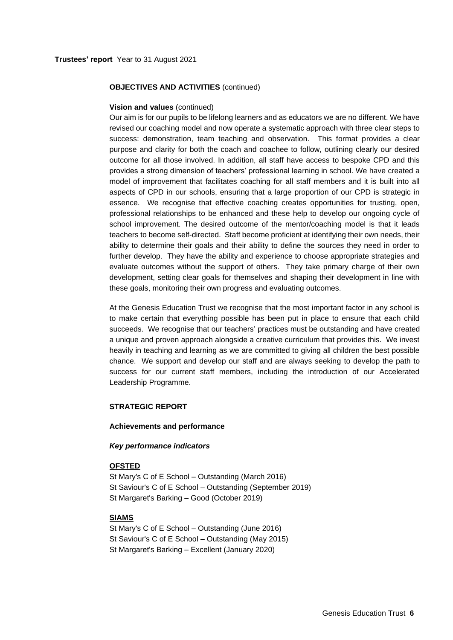## **OBJECTIVES AND ACTIVITIES** (continued)

#### **Vision and values** (continued)

Our aim is for our pupils to be lifelong learners and as educators we are no different. We have revised our coaching model and now operate a systematic approach with three clear steps to success: demonstration, team teaching and observation. This format provides a clear purpose and clarity for both the coach and coachee to follow, outlining clearly our desired outcome for all those involved. In addition, all staff have access to bespoke CPD and this provides a strong dimension of teachers' professional learning in school. We have created a model of improvement that facilitates coaching for all staff members and it is built into all aspects of CPD in our schools, ensuring that a large proportion of our CPD is strategic in essence. We recognise that effective coaching creates opportunities for trusting, open, professional relationships to be enhanced and these help to develop our ongoing cycle of school improvement. The desired outcome of the mentor/coaching model is that it leads teachers to become self-directed. Staff become proficient at identifying their own needs, their ability to determine their goals and their ability to define the sources they need in order to further develop. They have the ability and experience to choose appropriate strategies and evaluate outcomes without the support of others. They take primary charge of their own development, setting clear goals for themselves and shaping their development in line with these goals, monitoring their own progress and evaluating outcomes.

At the Genesis Education Trust we recognise that the most important factor in any school is to make certain that everything possible has been put in place to ensure that each child succeeds. We recognise that our teachers' practices must be outstanding and have created a unique and proven approach alongside a creative curriculum that provides this. We invest heavily in teaching and learning as we are committed to giving all children the best possible chance. We support and develop our staff and are always seeking to develop the path to success for our current staff members, including the introduction of our Accelerated Leadership Programme.

## **STRATEGIC REPORT**

#### **Achievements and performance**

#### *Key performance indicators*

## **OFSTED**

St Mary's C of E School – Outstanding (March 2016) St Saviour's C of E School – Outstanding (September 2019) St Margaret's Barking – Good (October 2019)

#### **SIAMS**

St Mary's C of E School – Outstanding (June 2016) St Saviour's C of E School – Outstanding (May 2015) St Margaret's Barking – Excellent (January 2020)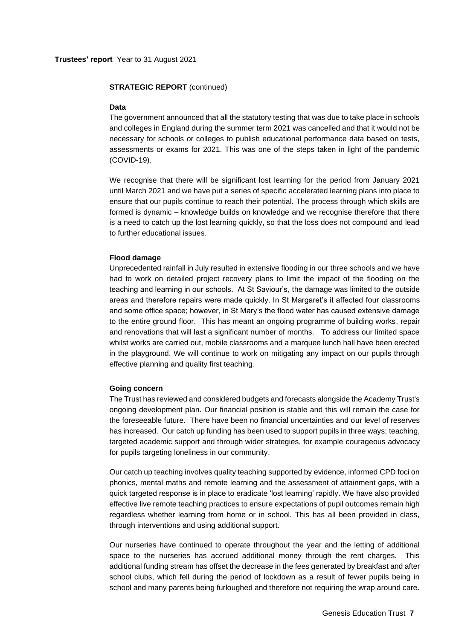#### **STRATEGIC REPORT** (continued)

#### **Data**

The government announced that all the statutory testing that was due to take place in schools and colleges in England during the summer term 2021 was cancelled and that it would not be necessary for schools or colleges to publish educational performance data based on tests, assessments or exams for 2021. This was one of the steps taken in light of the pandemic (COVID-19).

We recognise that there will be significant lost learning for the period from January 2021 until March 2021 and we have put a series of specific accelerated learning plans into place to ensure that our pupils continue to reach their potential. The process through which skills are formed is dynamic – knowledge builds on knowledge and we recognise therefore that there is a need to catch up the lost learning quickly, so that the loss does not compound and lead to further educational issues.

#### **Flood damage**

Unprecedented rainfall in July resulted in extensive flooding in our three schools and we have had to work on detailed project recovery plans to limit the impact of the flooding on the teaching and learning in our schools. At St Saviour's, the damage was limited to the outside areas and therefore repairs were made quickly. In St Margaret's it affected four classrooms and some office space; however, in St Mary's the flood water has caused extensive damage to the entire ground floor. This has meant an ongoing programme of building works, repair and renovations that will last a significant number of months. To address our limited space whilst works are carried out, mobile classrooms and a marquee lunch hall have been erected in the playground. We will continue to work on mitigating any impact on our pupils through effective planning and quality first teaching.

#### **Going concern**

The Trust has reviewed and considered budgets and forecasts alongside the Academy Trust's ongoing development plan. Our financial position is stable and this will remain the case for the foreseeable future. There have been no financial uncertainties and our level of reserves has increased. Our catch up funding has been used to support pupils in three ways; teaching, targeted academic support and through wider strategies, for example courageous advocacy for pupils targeting loneliness in our community.

Our catch up teaching involves quality teaching supported by evidence, informed CPD foci on phonics, mental maths and remote learning and the assessment of attainment gaps, with a quick targeted response is in place to eradicate 'lost learning' rapidly. We have also provided effective live remote teaching practices to ensure expectations of pupil outcomes remain high regardless whether learning from home or in school. This has all been provided in class, through interventions and using additional support.

Our nurseries have continued to operate throughout the year and the letting of additional space to the nurseries has accrued additional money through the rent charges. This additional funding stream has offset the decrease in the fees generated by breakfast and after school clubs, which fell during the period of lockdown as a result of fewer pupils being in school and many parents being furloughed and therefore not requiring the wrap around care.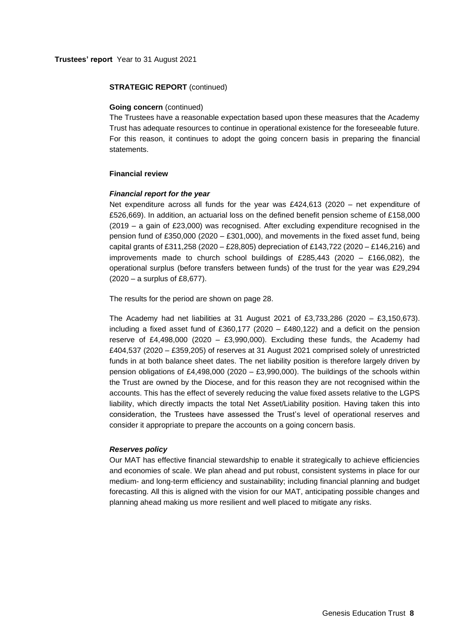#### **STRATEGIC REPORT** (continued)

#### **Going concern** (continued)

The Trustees have a reasonable expectation based upon these measures that the Academy Trust has adequate resources to continue in operational existence for the foreseeable future. For this reason, it continues to adopt the going concern basis in preparing the financial statements.

#### **Financial review**

#### *Financial report for the year*

Net expenditure across all funds for the year was £424,613 (2020 – net expenditure of £526,669). In addition, an actuarial loss on the defined benefit pension scheme of £158,000 (2019 – a gain of £23,000) was recognised. After excluding expenditure recognised in the pension fund of £350,000 (2020 – £301,000), and movements in the fixed asset fund, being capital grants of £311,258 (2020 – £28,805) depreciation of £143,722 (2020 – £146,216) and improvements made to church school buildings of £285,443 (2020 – £166,082), the operational surplus (before transfers between funds) of the trust for the year was £29,294 (2020 – a surplus of £8,677).

The results for the period are shown on page 28.

The Academy had net liabilities at 31 August 2021 of £3,733,286 (2020 – £3,150,673). including a fixed asset fund of £360,177 (2020 – £480,122) and a deficit on the pension reserve of £4,498,000 (2020 – £3,990,000). Excluding these funds, the Academy had £404,537 (2020 – £359,205) of reserves at 31 August 2021 comprised solely of unrestricted funds in at both balance sheet dates. The net liability position is therefore largely driven by pension obligations of £4,498,000 (2020 – £3,990,000). The buildings of the schools within the Trust are owned by the Diocese, and for this reason they are not recognised within the accounts. This has the effect of severely reducing the value fixed assets relative to the LGPS liability, which directly impacts the total Net Asset/Liability position. Having taken this into consideration, the Trustees have assessed the Trust's level of operational reserves and consider it appropriate to prepare the accounts on a going concern basis.

#### *Reserves policy*

Our MAT has effective financial stewardship to enable it strategically to achieve efficiencies and economies of scale. We plan ahead and put robust, consistent systems in place for our medium- and long-term efficiency and sustainability; including financial planning and budget forecasting. All this is aligned with the vision for our MAT, anticipating possible changes and planning ahead making us more resilient and well placed to mitigate any risks.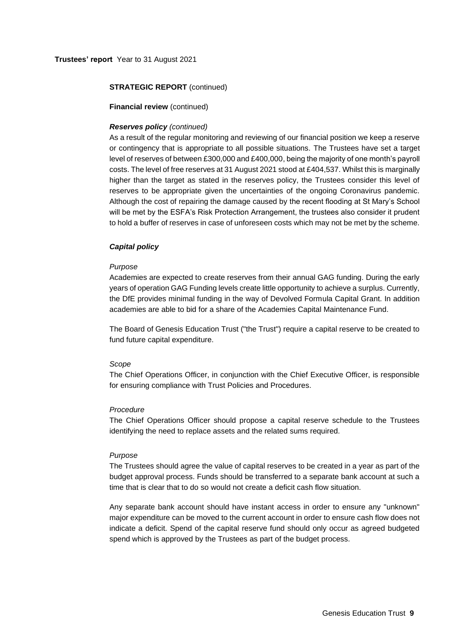### **Trustees' report** Year to 31 August 2021

### **STRATEGIC REPORT** (continued)

#### **Financial review** (continued)

#### *Reserves policy (continued)*

As a result of the regular monitoring and reviewing of our financial position we keep a reserve or contingency that is appropriate to all possible situations. The Trustees have set a target level of reserves of between £300,000 and £400,000, being the majority of one month's payroll costs. The level of free reserves at 31 August 2021 stood at £404,537. Whilst this is marginally higher than the target as stated in the reserves policy, the Trustees consider this level of reserves to be appropriate given the uncertainties of the ongoing Coronavirus pandemic. Although the cost of repairing the damage caused by the recent flooding at St Mary's School will be met by the ESFA's Risk Protection Arrangement, the trustees also consider it prudent to hold a buffer of reserves in case of unforeseen costs which may not be met by the scheme.

### *Capital policy*

#### *Purpose*

Academies are expected to create reserves from their annual GAG funding. During the early years of operation GAG Funding levels create little opportunity to achieve a surplus. Currently, the DfE provides minimal funding in the way of Devolved Formula Capital Grant. In addition academies are able to bid for a share of the Academies Capital Maintenance Fund.

The Board of Genesis Education Trust ("the Trust") require a capital reserve to be created to fund future capital expenditure.

#### *Scope*

The Chief Operations Officer, in conjunction with the Chief Executive Officer, is responsible for ensuring compliance with Trust Policies and Procedures.

#### *Procedure*

The Chief Operations Officer should propose a capital reserve schedule to the Trustees identifying the need to replace assets and the related sums required.

#### *Purpose*

The Trustees should agree the value of capital reserves to be created in a year as part of the budget approval process. Funds should be transferred to a separate bank account at such a time that is clear that to do so would not create a deficit cash flow situation.

Any separate bank account should have instant access in order to ensure any "unknown" major expenditure can be moved to the current account in order to ensure cash flow does not indicate a deficit. Spend of the capital reserve fund should only occur as agreed budgeted spend which is approved by the Trustees as part of the budget process.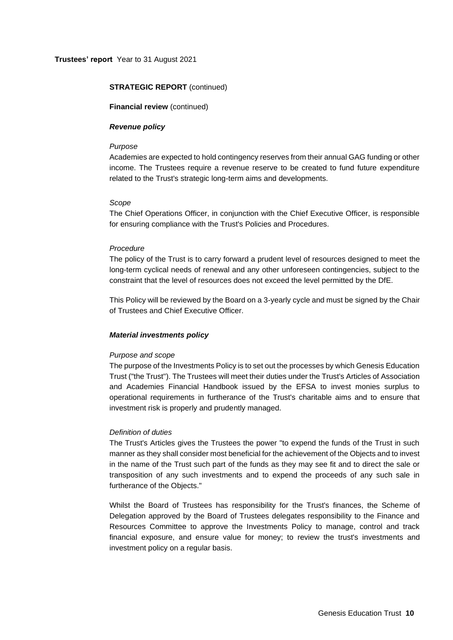## **STRATEGIC REPORT** (continued)

**Financial review** (continued)

#### *Revenue policy*

#### *Purpose*

Academies are expected to hold contingency reserves from their annual GAG funding or other income. The Trustees require a revenue reserve to be created to fund future expenditure related to the Trust's strategic long-term aims and developments.

### *Scope*

The Chief Operations Officer, in conjunction with the Chief Executive Officer, is responsible for ensuring compliance with the Trust's Policies and Procedures.

## *Procedure*

The policy of the Trust is to carry forward a prudent level of resources designed to meet the long-term cyclical needs of renewal and any other unforeseen contingencies, subject to the constraint that the level of resources does not exceed the level permitted by the DfE.

This Policy will be reviewed by the Board on a 3-yearly cycle and must be signed by the Chair of Trustees and Chief Executive Officer.

## *Material investments policy*

## *Purpose and scope*

The purpose of the Investments Policy is to set out the processes by which Genesis Education Trust ("the Trust"). The Trustees will meet their duties under the Trust's Articles of Association and Academies Financial Handbook issued by the EFSA to invest monies surplus to operational requirements in furtherance of the Trust's charitable aims and to ensure that investment risk is properly and prudently managed.

## *Definition of duties*

The Trust's Articles gives the Trustees the power "to expend the funds of the Trust in such manner as they shall consider most beneficial for the achievement of the Objects and to invest in the name of the Trust such part of the funds as they may see fit and to direct the sale or transposition of any such investments and to expend the proceeds of any such sale in furtherance of the Objects."

Whilst the Board of Trustees has responsibility for the Trust's finances, the Scheme of Delegation approved by the Board of Trustees delegates responsibility to the Finance and Resources Committee to approve the Investments Policy to manage, control and track financial exposure, and ensure value for money; to review the trust's investments and investment policy on a regular basis.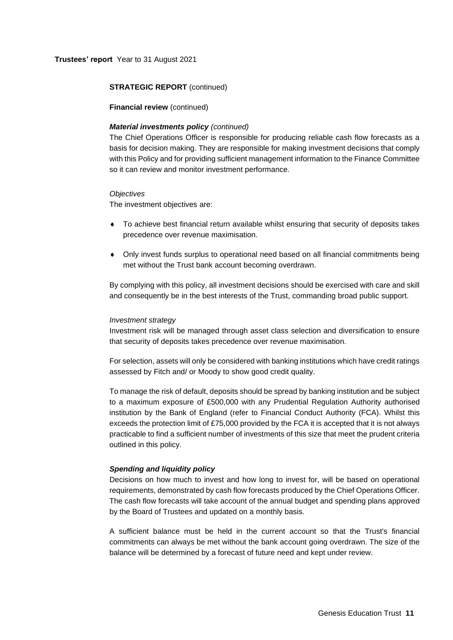### **Trustees' report** Year to 31 August 2021

#### **STRATEGIC REPORT** (continued)

**Financial review** (continued)

#### *Material investments policy (continued)*

The Chief Operations Officer is responsible for producing reliable cash flow forecasts as a basis for decision making. They are responsible for making investment decisions that comply with this Policy and for providing sufficient management information to the Finance Committee so it can review and monitor investment performance.

#### *Objectives*

The investment objectives are:

- To achieve best financial return available whilst ensuring that security of deposits takes precedence over revenue maximisation.
- Only invest funds surplus to operational need based on all financial commitments being met without the Trust bank account becoming overdrawn.

By complying with this policy, all investment decisions should be exercised with care and skill and consequently be in the best interests of the Trust, commanding broad public support.

#### *Investment strategy*

Investment risk will be managed through asset class selection and diversification to ensure that security of deposits takes precedence over revenue maximisation.

For selection, assets will only be considered with banking institutions which have credit ratings assessed by Fitch and/ or Moody to show good credit quality.

To manage the risk of default, deposits should be spread by banking institution and be subject to a maximum exposure of £500,000 with any Prudential Regulation Authority authorised institution by the Bank of England (refer to Financial Conduct Authority (FCA). Whilst this exceeds the protection limit of £75,000 provided by the FCA it is accepted that it is not always practicable to find a sufficient number of investments of this size that meet the prudent criteria outlined in this policy.

#### *Spending and liquidity policy*

Decisions on how much to invest and how long to invest for, will be based on operational requirements, demonstrated by cash flow forecasts produced by the Chief Operations Officer. The cash flow forecasts will take account of the annual budget and spending plans approved by the Board of Trustees and updated on a monthly basis.

A sufficient balance must be held in the current account so that the Trust's financial commitments can always be met without the bank account going overdrawn. The size of the balance will be determined by a forecast of future need and kept under review.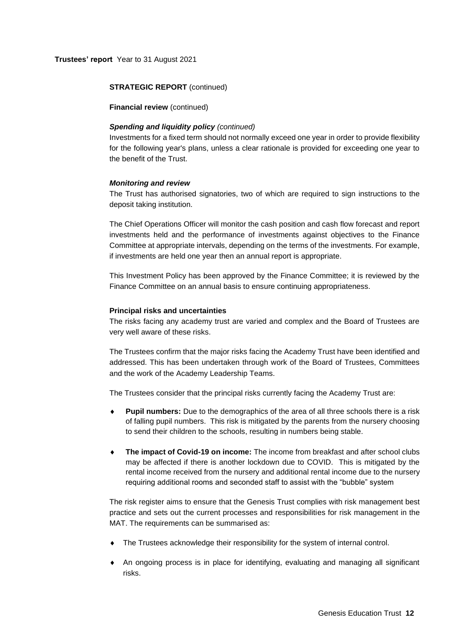## **STRATEGIC REPORT** (continued)

**Financial review** (continued)

## *Spending and liquidity policy (continued)*

Investments for a fixed term should not normally exceed one year in order to provide flexibility for the following year's plans, unless a clear rationale is provided for exceeding one year to the benefit of the Trust.

#### *Monitoring and review*

The Trust has authorised signatories, two of which are required to sign instructions to the deposit taking institution.

The Chief Operations Officer will monitor the cash position and cash flow forecast and report investments held and the performance of investments against objectives to the Finance Committee at appropriate intervals, depending on the terms of the investments. For example, if investments are held one year then an annual report is appropriate.

This Investment Policy has been approved by the Finance Committee; it is reviewed by the Finance Committee on an annual basis to ensure continuing appropriateness.

#### **Principal risks and uncertainties**

The risks facing any academy trust are varied and complex and the Board of Trustees are very well aware of these risks.

The Trustees confirm that the major risks facing the Academy Trust have been identified and addressed. This has been undertaken through work of the Board of Trustees, Committees and the work of the Academy Leadership Teams.

The Trustees consider that the principal risks currently facing the Academy Trust are:

- **Pupil numbers:** Due to the demographics of the area of all three schools there is a risk of falling pupil numbers. This risk is mitigated by the parents from the nursery choosing to send their children to the schools, resulting in numbers being stable.
- **The impact of Covid-19 on income:** The income from breakfast and after school clubs may be affected if there is another lockdown due to COVID. This is mitigated by the rental income received from the nursery and additional rental income due to the nursery requiring additional rooms and seconded staff to assist with the "bubble" system

The risk register aims to ensure that the Genesis Trust complies with risk management best practice and sets out the current processes and responsibilities for risk management in the MAT. The requirements can be summarised as:

- The Trustees acknowledge their responsibility for the system of internal control.
- An ongoing process is in place for identifying, evaluating and managing all significant risks.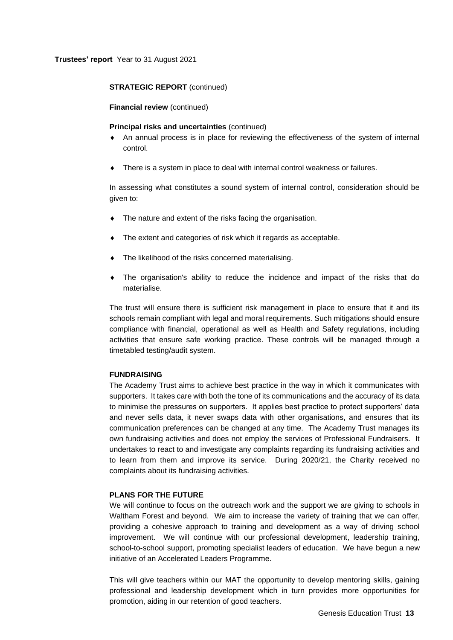## **STRATEGIC REPORT** (continued)

**Financial review** (continued)

#### **Principal risks and uncertainties** (continued)

- An annual process is in place for reviewing the effectiveness of the system of internal control.
- There is a system in place to deal with internal control weakness or failures.

In assessing what constitutes a sound system of internal control, consideration should be given to:

- The nature and extent of the risks facing the organisation.
- The extent and categories of risk which it regards as acceptable.
- The likelihood of the risks concerned materialising.
- The organisation's ability to reduce the incidence and impact of the risks that do materialise.

The trust will ensure there is sufficient risk management in place to ensure that it and its schools remain compliant with legal and moral requirements. Such mitigations should ensure compliance with financial, operational as well as Health and Safety regulations, including activities that ensure safe working practice. These controls will be managed through a timetabled testing/audit system.

#### **FUNDRAISING**

The Academy Trust aims to achieve best practice in the way in which it communicates with supporters. It takes care with both the tone of its communications and the accuracy of its data to minimise the pressures on supporters. It applies best practice to protect supporters' data and never sells data, it never swaps data with other organisations, and ensures that its communication preferences can be changed at any time. The Academy Trust manages its own fundraising activities and does not employ the services of Professional Fundraisers. It undertakes to react to and investigate any complaints regarding its fundraising activities and to learn from them and improve its service. During 2020/21, the Charity received no complaints about its fundraising activities.

#### **PLANS FOR THE FUTURE**

We will continue to focus on the outreach work and the support we are giving to schools in Waltham Forest and beyond. We aim to increase the variety of training that we can offer, providing a cohesive approach to training and development as a way of driving school improvement. We will continue with our professional development, leadership training, school-to-school support, promoting specialist leaders of education. We have begun a new initiative of an Accelerated Leaders Programme.

This will give teachers within our MAT the opportunity to develop mentoring skills, gaining professional and leadership development which in turn provides more opportunities for promotion, aiding in our retention of good teachers.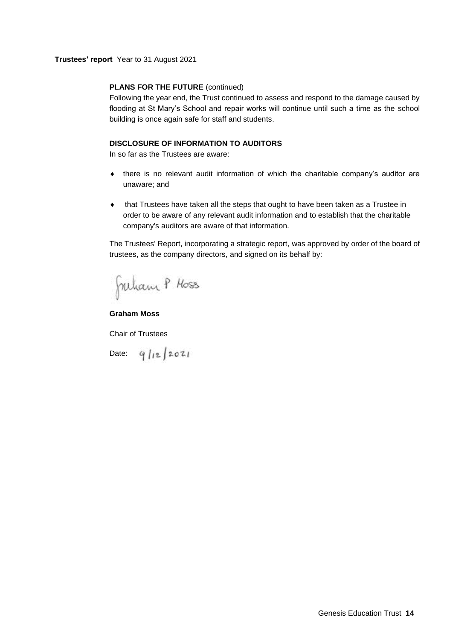### **Trustees' report** Year to 31 August 2021

## **PLANS FOR THE FUTURE (continued)**

Following the year end, the Trust continued to assess and respond to the damage caused by flooding at St Mary's School and repair works will continue until such a time as the school building is once again safe for staff and students.

## **DISCLOSURE OF INFORMATION TO AUDITORS**

In so far as the Trustees are aware:

- there is no relevant audit information of which the charitable company's auditor are unaware; and
- that Trustees have taken all the steps that ought to have been taken as a Trustee in order to be aware of any relevant audit information and to establish that the charitable company's auditors are aware of that information.

The Trustees' Report, incorporating a strategic report, was approved by order of the board of trustees, as the company directors, and signed on its behalf by:

Juhan P Hoss

**Graham Moss**

Chair of Trustees

Date:  $9/12/2021$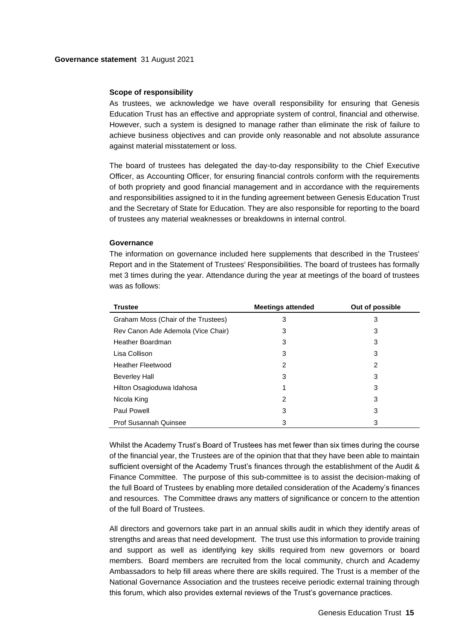#### **Governance statement** 31 August 2021

#### **Scope of responsibility**

As trustees, we acknowledge we have overall responsibility for ensuring that Genesis Education Trust has an effective and appropriate system of control, financial and otherwise. However, such a system is designed to manage rather than eliminate the risk of failure to achieve business objectives and can provide only reasonable and not absolute assurance against material misstatement or loss.

The board of trustees has delegated the day-to-day responsibility to the Chief Executive Officer, as Accounting Officer, for ensuring financial controls conform with the requirements of both propriety and good financial management and in accordance with the requirements and responsibilities assigned to it in the funding agreement between Genesis Education Trust and the Secretary of State for Education. They are also responsible for reporting to the board of trustees any material weaknesses or breakdowns in internal control.

#### **Governance**

The information on governance included here supplements that described in the Trustees' Report and in the Statement of Trustees' Responsibilities. The board of trustees has formally met 3 times during the year. Attendance during the year at meetings of the board of trustees was as follows:

| <b>Trustee</b>                      | <b>Meetings attended</b> | Out of possible |
|-------------------------------------|--------------------------|-----------------|
| Graham Moss (Chair of the Trustees) | 3                        | 3               |
| Rev Canon Ade Ademola (Vice Chair)  | 3                        | 3               |
| Heather Boardman                    | 3                        | 3               |
| Lisa Collison                       | 3                        | 3               |
| <b>Heather Fleetwood</b>            | 2                        | 2               |
| <b>Beverley Hall</b>                | 3                        | 3               |
| Hilton Osagioduwa Idahosa           |                          | 3               |
| Nicola King                         | 2                        | 3               |
| Paul Powell                         | 3                        | 3               |
| <b>Prof Susannah Quinsee</b>        | 3                        | 3               |

Whilst the Academy Trust's Board of Trustees has met fewer than six times during the course of the financial year, the Trustees are of the opinion that that they have been able to maintain sufficient oversight of the Academy Trust's finances through the establishment of the Audit & Finance Committee. The purpose of this sub-committee is to assist the decision-making of the full Board of Trustees by enabling more detailed consideration of the Academy's finances and resources. The Committee draws any matters of significance or concern to the attention of the full Board of Trustees.

All directors and governors take part in an annual skills audit in which they identify areas of strengths and areas that need development. The trust use this information to provide training and support as well as identifying key skills required from new governors or board members. Board members are recruited from the local community, church and Academy Ambassadors to help fill areas where there are skills required. The Trust is a member of the National Governance Association and the trustees receive periodic external training through this forum, which also provides external reviews of the Trust's governance practices.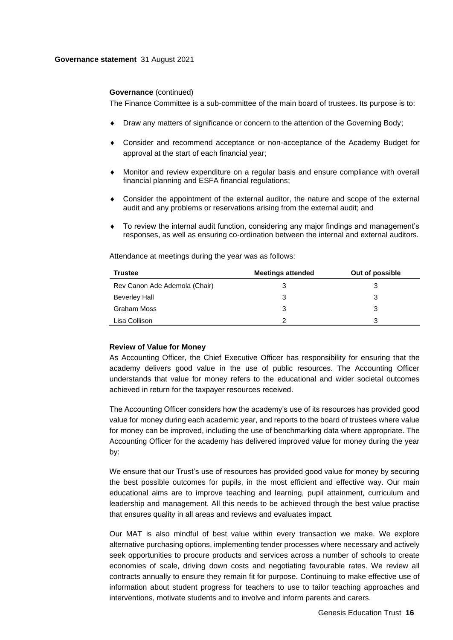#### **Governance statement** 31 August 2021

#### **Governance** (continued)

The Finance Committee is a sub-committee of the main board of trustees. Its purpose is to:

- Draw any matters of significance or concern to the attention of the Governing Body;
- Consider and recommend acceptance or non-acceptance of the Academy Budget for approval at the start of each financial year;
- Monitor and review expenditure on a regular basis and ensure compliance with overall financial planning and ESFA financial regulations;
- Consider the appointment of the external auditor, the nature and scope of the external audit and any problems or reservations arising from the external audit; and
- To review the internal audit function, considering any major findings and management's responses, as well as ensuring co-ordination between the internal and external auditors.

| <b>Trustee</b>                | <b>Meetings attended</b> | Out of possible |
|-------------------------------|--------------------------|-----------------|
| Rev Canon Ade Ademola (Chair) |                          | З               |
| <b>Beverley Hall</b>          | 3                        | 3               |
| Graham Moss                   |                          | 3               |
| Lisa Collison                 | ົ                        | 3               |

Attendance at meetings during the year was as follows:

#### **Review of Value for Money**

As Accounting Officer, the Chief Executive Officer has responsibility for ensuring that the academy delivers good value in the use of public resources. The Accounting Officer understands that value for money refers to the educational and wider societal outcomes achieved in return for the taxpayer resources received.

The Accounting Officer considers how the academy's use of its resources has provided good value for money during each academic year, and reports to the board of trustees where value for money can be improved, including the use of benchmarking data where appropriate. The Accounting Officer for the academy has delivered improved value for money during the year by:

We ensure that our Trust's use of resources has provided good value for money by securing the best possible outcomes for pupils, in the most efficient and effective way. Our main educational aims are to improve teaching and learning, pupil attainment, curriculum and leadership and management. All this needs to be achieved through the best value practise that ensures quality in all areas and reviews and evaluates impact.

Our MAT is also mindful of best value within every transaction we make. We explore alternative purchasing options, implementing tender processes where necessary and actively seek opportunities to procure products and services across a number of schools to create economies of scale, driving down costs and negotiating favourable rates. We review all contracts annually to ensure they remain fit for purpose. Continuing to make effective use of information about student progress for teachers to use to tailor teaching approaches and interventions, motivate students and to involve and inform parents and carers.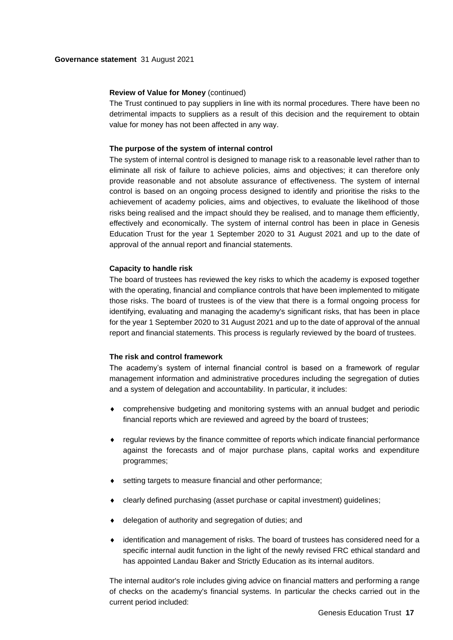#### **Review of Value for Money** (continued)

The Trust continued to pay suppliers in line with its normal procedures. There have been no detrimental impacts to suppliers as a result of this decision and the requirement to obtain value for money has not been affected in any way.

#### **The purpose of the system of internal control**

The system of internal control is designed to manage risk to a reasonable level rather than to eliminate all risk of failure to achieve policies, aims and objectives; it can therefore only provide reasonable and not absolute assurance of effectiveness. The system of internal control is based on an ongoing process designed to identify and prioritise the risks to the achievement of academy policies, aims and objectives, to evaluate the likelihood of those risks being realised and the impact should they be realised, and to manage them efficiently, effectively and economically. The system of internal control has been in place in Genesis Education Trust for the year 1 September 2020 to 31 August 2021 and up to the date of approval of the annual report and financial statements.

#### **Capacity to handle risk**

The board of trustees has reviewed the key risks to which the academy is exposed together with the operating, financial and compliance controls that have been implemented to mitigate those risks. The board of trustees is of the view that there is a formal ongoing process for identifying, evaluating and managing the academy's significant risks, that has been in place for the year 1 September 2020 to 31 August 2021 and up to the date of approval of the annual report and financial statements. This process is regularly reviewed by the board of trustees.

#### **The risk and control framework**

The academy's system of internal financial control is based on a framework of regular management information and administrative procedures including the segregation of duties and a system of delegation and accountability. In particular, it includes:

- comprehensive budgeting and monitoring systems with an annual budget and periodic financial reports which are reviewed and agreed by the board of trustees;
- regular reviews by the finance committee of reports which indicate financial performance against the forecasts and of major purchase plans, capital works and expenditure programmes;
- setting targets to measure financial and other performance;
- clearly defined purchasing (asset purchase or capital investment) guidelines;
- delegation of authority and segregation of duties; and
- identification and management of risks. The board of trustees has considered need for a specific internal audit function in the light of the newly revised FRC ethical standard and has appointed Landau Baker and Strictly Education as its internal auditors.

The internal auditor's role includes giving advice on financial matters and performing a range of checks on the academy's financial systems. In particular the checks carried out in the current period included: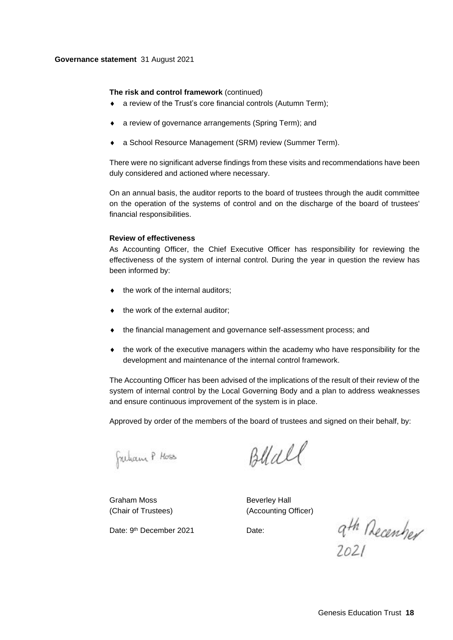#### **Governance statement** 31 August 2021

#### **The risk and control framework** (continued)

- a review of the Trust's core financial controls (Autumn Term);
- a review of governance arrangements (Spring Term); and
- a School Resource Management (SRM) review (Summer Term).

There were no significant adverse findings from these visits and recommendations have been duly considered and actioned where necessary.

On an annual basis, the auditor reports to the board of trustees through the audit committee on the operation of the systems of control and on the discharge of the board of trustees' financial responsibilities.

#### **Review of effectiveness**

As Accounting Officer, the Chief Executive Officer has responsibility for reviewing the effectiveness of the system of internal control. During the year in question the review has been informed by:

- the work of the internal auditors;
- the work of the external auditor;
- the financial management and governance self-assessment process; and
- the work of the executive managers within the academy who have responsibility for the development and maintenance of the internal control framework.

The Accounting Officer has been advised of the implications of the result of their review of the system of internal control by the Local Governing Body and a plan to address weaknesses and ensure continuous improvement of the system is in place.

Approved by order of the members of the board of trustees and signed on their behalf, by:

Freham P Hoss

Blall

Graham Moss **Beverley Hall** 

(Chair of Trustees) (Accounting Officer)

Date: 9<sup>th</sup> December 2021 Date:

ath December<br>2021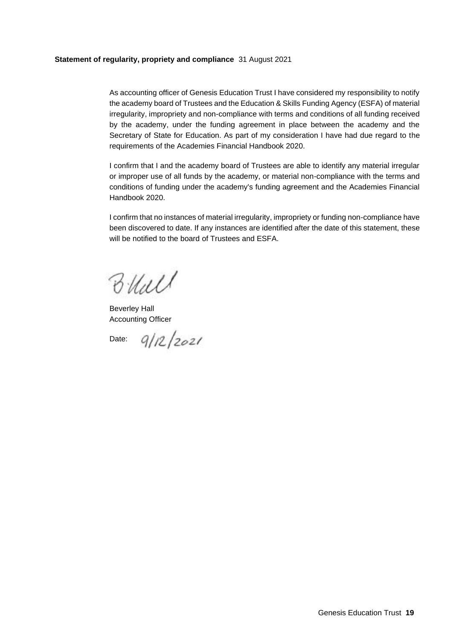### **Statement of regularity, propriety and compliance** 31 August 2021

As accounting officer of Genesis Education Trust I have considered my responsibility to notify the academy board of Trustees and the Education & Skills Funding Agency (ESFA) of material irregularity, impropriety and non-compliance with terms and conditions of all funding received by the academy, under the funding agreement in place between the academy and the Secretary of State for Education. As part of my consideration I have had due regard to the requirements of the Academies Financial Handbook 2020.

I confirm that I and the academy board of Trustees are able to identify any material irregular or improper use of all funds by the academy, or material non-compliance with the terms and conditions of funding under the academy's funding agreement and the Academies Financial Handbook 2020.

I confirm that no instances of material irregularity, impropriety or funding non-compliance have been discovered to date. If any instances are identified after the date of this statement, these will be notified to the board of Trustees and ESFA.

Blall

Beverley Hall Accounting Officer

Date:  $9/12/2021$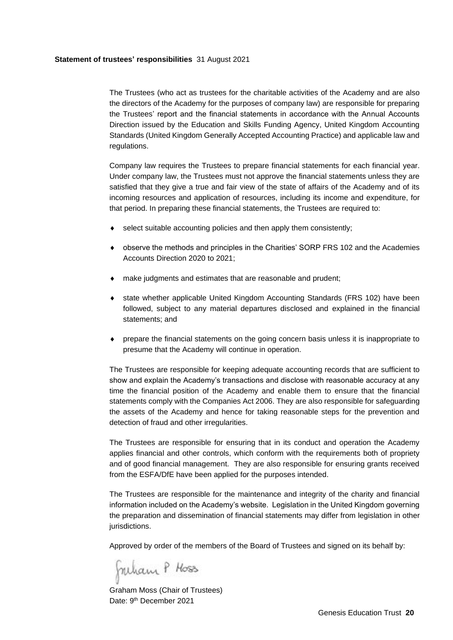#### **Statement of trustees' responsibilities** 31 August 2021

The Trustees (who act as trustees for the charitable activities of the Academy and are also the directors of the Academy for the purposes of company law) are responsible for preparing the Trustees' report and the financial statements in accordance with the Annual Accounts Direction issued by the Education and Skills Funding Agency, United Kingdom Accounting Standards (United Kingdom Generally Accepted Accounting Practice) and applicable law and regulations.

Company law requires the Trustees to prepare financial statements for each financial year. Under company law, the Trustees must not approve the financial statements unless they are satisfied that they give a true and fair view of the state of affairs of the Academy and of its incoming resources and application of resources, including its income and expenditure, for that period. In preparing these financial statements, the Trustees are required to:

- select suitable accounting policies and then apply them consistently;
- observe the methods and principles in the Charities' SORP FRS 102 and the Academies Accounts Direction 2020 to 2021;
- make judgments and estimates that are reasonable and prudent;
- state whether applicable United Kingdom Accounting Standards (FRS 102) have been followed, subject to any material departures disclosed and explained in the financial statements; and
- prepare the financial statements on the going concern basis unless it is inappropriate to presume that the Academy will continue in operation.

The Trustees are responsible for keeping adequate accounting records that are sufficient to show and explain the Academy's transactions and disclose with reasonable accuracy at any time the financial position of the Academy and enable them to ensure that the financial statements comply with the Companies Act 2006. They are also responsible for safeguarding the assets of the Academy and hence for taking reasonable steps for the prevention and detection of fraud and other irregularities.

The Trustees are responsible for ensuring that in its conduct and operation the Academy applies financial and other controls, which conform with the requirements both of propriety and of good financial management. They are also responsible for ensuring grants received from the ESFA/DfE have been applied for the purposes intended.

The Trustees are responsible for the maintenance and integrity of the charity and financial information included on the Academy's website. Legislation in the United Kingdom governing the preparation and dissemination of financial statements may differ from legislation in other jurisdictions.

Approved by order of the members of the Board of Trustees and signed on its behalf by:

Julian P Hoss

Graham Moss (Chair of Trustees) Date: 9<sup>th</sup> December 2021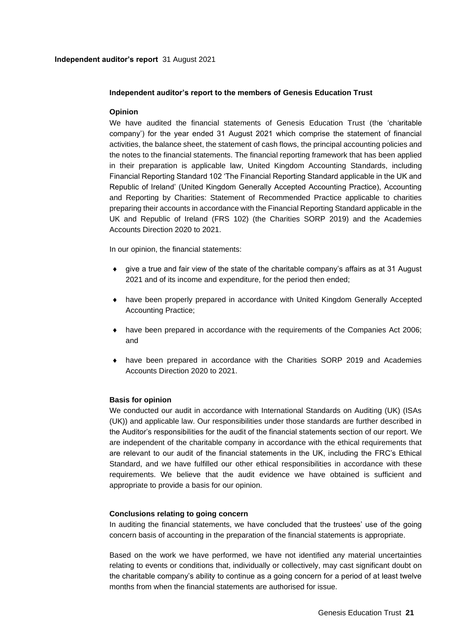### **Independent auditor's report to the members of Genesis Education Trust**

## **Opinion**

We have audited the financial statements of Genesis Education Trust (the 'charitable company') for the year ended 31 August 2021 which comprise the statement of financial activities, the balance sheet, the statement of cash flows, the principal accounting policies and the notes to the financial statements. The financial reporting framework that has been applied in their preparation is applicable law, United Kingdom Accounting Standards, including Financial Reporting Standard 102 'The Financial Reporting Standard applicable in the UK and Republic of Ireland' (United Kingdom Generally Accepted Accounting Practice), Accounting and Reporting by Charities: Statement of Recommended Practice applicable to charities preparing their accounts in accordance with the Financial Reporting Standard applicable in the UK and Republic of Ireland (FRS 102) (the Charities SORP 2019) and the Academies Accounts Direction 2020 to 2021.

In our opinion, the financial statements:

- give a true and fair view of the state of the charitable company's affairs as at 31 August 2021 and of its income and expenditure, for the period then ended;
- have been properly prepared in accordance with United Kingdom Generally Accepted Accounting Practice;
- have been prepared in accordance with the requirements of the Companies Act 2006; and
- have been prepared in accordance with the Charities SORP 2019 and Academies Accounts Direction 2020 to 2021.

## **Basis for opinion**

We conducted our audit in accordance with International Standards on Auditing (UK) (ISAs (UK)) and applicable law. Our responsibilities under those standards are further described in the Auditor's responsibilities for the audit of the financial statements section of our report. We are independent of the charitable company in accordance with the ethical requirements that are relevant to our audit of the financial statements in the UK, including the FRC's Ethical Standard, and we have fulfilled our other ethical responsibilities in accordance with these requirements. We believe that the audit evidence we have obtained is sufficient and appropriate to provide a basis for our opinion.

#### **Conclusions relating to going concern**

In auditing the financial statements, we have concluded that the trustees' use of the going concern basis of accounting in the preparation of the financial statements is appropriate.

Based on the work we have performed, we have not identified any material uncertainties relating to events or conditions that, individually or collectively, may cast significant doubt on the charitable company's ability to continue as a going concern for a period of at least twelve months from when the financial statements are authorised for issue.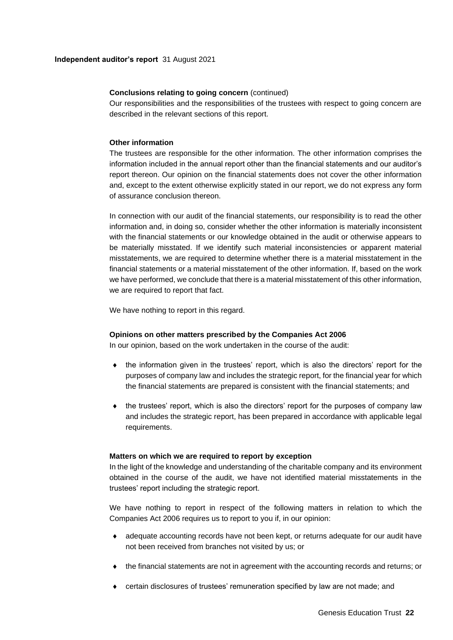### **Conclusions relating to going concern** (continued)

Our responsibilities and the responsibilities of the trustees with respect to going concern are described in the relevant sections of this report.

## **Other information**

The trustees are responsible for the other information. The other information comprises the information included in the annual report other than the financial statements and our auditor's report thereon. Our opinion on the financial statements does not cover the other information and, except to the extent otherwise explicitly stated in our report, we do not express any form of assurance conclusion thereon.

In connection with our audit of the financial statements, our responsibility is to read the other information and, in doing so, consider whether the other information is materially inconsistent with the financial statements or our knowledge obtained in the audit or otherwise appears to be materially misstated. If we identify such material inconsistencies or apparent material misstatements, we are required to determine whether there is a material misstatement in the financial statements or a material misstatement of the other information. If, based on the work we have performed, we conclude that there is a material misstatement of this other information, we are required to report that fact.

We have nothing to report in this regard.

#### **Opinions on other matters prescribed by the Companies Act 2006**

In our opinion, based on the work undertaken in the course of the audit:

- $\bullet$  the information given in the trustees' report, which is also the directors' report for the purposes of company law and includes the strategic report, for the financial year for which the financial statements are prepared is consistent with the financial statements; and
- $\bullet$  the trustees' report, which is also the directors' report for the purposes of company law and includes the strategic report, has been prepared in accordance with applicable legal requirements.

#### **Matters on which we are required to report by exception**

In the light of the knowledge and understanding of the charitable company and its environment obtained in the course of the audit, we have not identified material misstatements in the trustees' report including the strategic report.

We have nothing to report in respect of the following matters in relation to which the Companies Act 2006 requires us to report to you if, in our opinion:

- adequate accounting records have not been kept, or returns adequate for our audit have not been received from branches not visited by us; or
- the financial statements are not in agreement with the accounting records and returns; or
- certain disclosures of trustees' remuneration specified by law are not made; and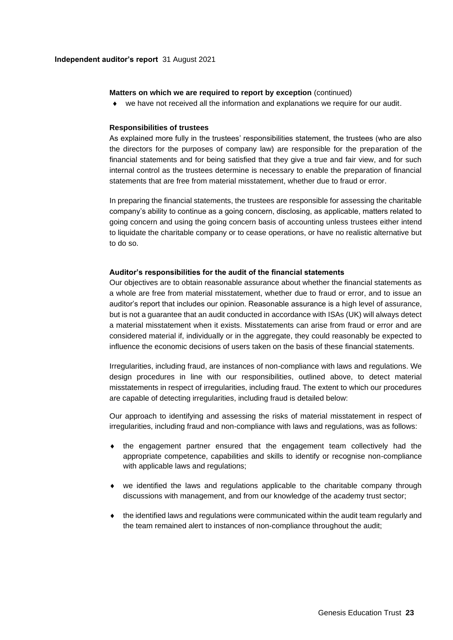#### **Matters on which we are required to report by exception** (continued)

we have not received all the information and explanations we require for our audit.

#### **Responsibilities of trustees**

As explained more fully in the trustees' responsibilities statement, the trustees (who are also the directors for the purposes of company law) are responsible for the preparation of the financial statements and for being satisfied that they give a true and fair view, and for such internal control as the trustees determine is necessary to enable the preparation of financial statements that are free from material misstatement, whether due to fraud or error.

In preparing the financial statements, the trustees are responsible for assessing the charitable company's ability to continue as a going concern, disclosing, as applicable, matters related to going concern and using the going concern basis of accounting unless trustees either intend to liquidate the charitable company or to cease operations, or have no realistic alternative but to do so.

#### **Auditor's responsibilities for the audit of the financial statements**

Our objectives are to obtain reasonable assurance about whether the financial statements as a whole are free from material misstatement, whether due to fraud or error, and to issue an auditor's report that includes our opinion. Reasonable assurance is a high level of assurance, but is not a guarantee that an audit conducted in accordance with ISAs (UK) will always detect a material misstatement when it exists. Misstatements can arise from fraud or error and are considered material if, individually or in the aggregate, they could reasonably be expected to influence the economic decisions of users taken on the basis of these financial statements.

Irregularities, including fraud, are instances of non-compliance with laws and regulations. We design procedures in line with our responsibilities, outlined above, to detect material misstatements in respect of irregularities, including fraud. The extent to which our procedures are capable of detecting irregularities, including fraud is detailed below:

Our approach to identifying and assessing the risks of material misstatement in respect of irregularities, including fraud and non-compliance with laws and regulations, was as follows:

- the engagement partner ensured that the engagement team collectively had the appropriate competence, capabilities and skills to identify or recognise non-compliance with applicable laws and regulations;
- we identified the laws and regulations applicable to the charitable company through discussions with management, and from our knowledge of the academy trust sector;
- $\bullet$  the identified laws and regulations were communicated within the audit team regularly and the team remained alert to instances of non-compliance throughout the audit;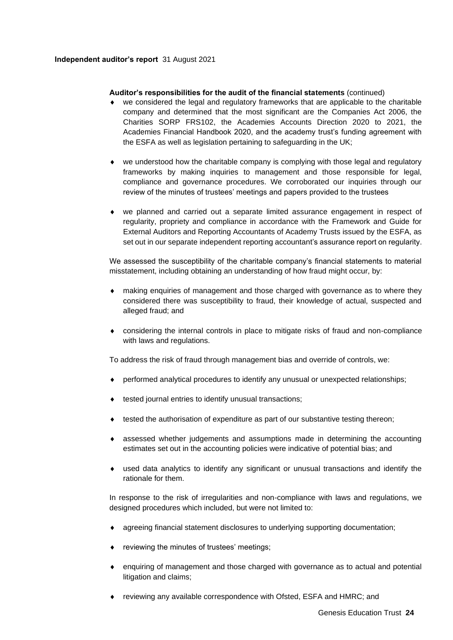### **Independent auditor's report** 31 August 2021

### **Auditor's responsibilities for the audit of the financial statements** (continued)

- we considered the legal and regulatory frameworks that are applicable to the charitable company and determined that the most significant are the Companies Act 2006, the Charities SORP FRS102, the Academies Accounts Direction 2020 to 2021, the Academies Financial Handbook 2020, and the academy trust's funding agreement with the ESFA as well as legislation pertaining to safeguarding in the UK;
- we understood how the charitable company is complying with those legal and regulatory frameworks by making inquiries to management and those responsible for legal, compliance and governance procedures. We corroborated our inquiries through our review of the minutes of trustees' meetings and papers provided to the trustees
- we planned and carried out a separate limited assurance engagement in respect of regularity, propriety and compliance in accordance with the Framework and Guide for External Auditors and Reporting Accountants of Academy Trusts issued by the ESFA, as set out in our separate independent reporting accountant's assurance report on regularity.

We assessed the susceptibility of the charitable company's financial statements to material misstatement, including obtaining an understanding of how fraud might occur, by:

- making enquiries of management and those charged with governance as to where they considered there was susceptibility to fraud, their knowledge of actual, suspected and alleged fraud; and
- considering the internal controls in place to mitigate risks of fraud and non-compliance with laws and regulations.

To address the risk of fraud through management bias and override of controls, we:

- performed analytical procedures to identify any unusual or unexpected relationships;
- tested journal entries to identify unusual transactions;
- tested the authorisation of expenditure as part of our substantive testing thereon;
- assessed whether judgements and assumptions made in determining the accounting estimates set out in the accounting policies were indicative of potential bias; and
- used data analytics to identify any significant or unusual transactions and identify the rationale for them.

In response to the risk of irregularities and non-compliance with laws and regulations, we designed procedures which included, but were not limited to:

- agreeing financial statement disclosures to underlying supporting documentation;
- reviewing the minutes of trustees' meetings;
- enquiring of management and those charged with governance as to actual and potential litigation and claims;
- reviewing any available correspondence with Ofsted, ESFA and HMRC; and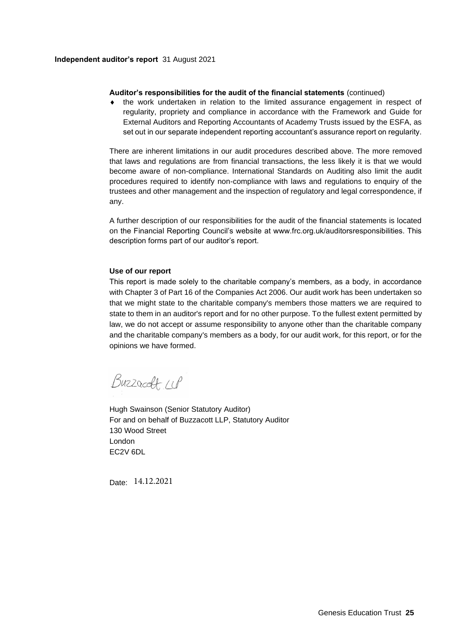#### **Independent auditor's report** 31 August 2021

#### **Auditor's responsibilities for the audit of the financial statements** (continued)

 the work undertaken in relation to the limited assurance engagement in respect of regularity, propriety and compliance in accordance with the Framework and Guide for External Auditors and Reporting Accountants of Academy Trusts issued by the ESFA, as set out in our separate independent reporting accountant's assurance report on regularity.

There are inherent limitations in our audit procedures described above. The more removed that laws and regulations are from financial transactions, the less likely it is that we would become aware of non-compliance. International Standards on Auditing also limit the audit procedures required to identify non-compliance with laws and regulations to enquiry of the trustees and other management and the inspection of regulatory and legal correspondence, if any.

A further description of our responsibilities for the audit of the financial statements is located on the Financial Reporting Council's website at www.frc.org.uk/auditorsresponsibilities. This description forms part of our auditor's report.

### **Use of our report**

This report is made solely to the charitable company's members, as a body, in accordance with Chapter 3 of Part 16 of the Companies Act 2006. Our audit work has been undertaken so that we might state to the charitable company's members those matters we are required to state to them in an auditor's report and for no other purpose. To the fullest extent permitted by law, we do not accept or assume responsibility to anyone other than the charitable company and the charitable company's members as a body, for our audit work, for this report, or for the opinions we have formed.

Buzzacoft 11P

Hugh Swainson (Senior Statutory Auditor) For and on behalf of Buzzacott LLP, Statutory Auditor 130 Wood Street London EC2V 6DL

Date: 14.12.2021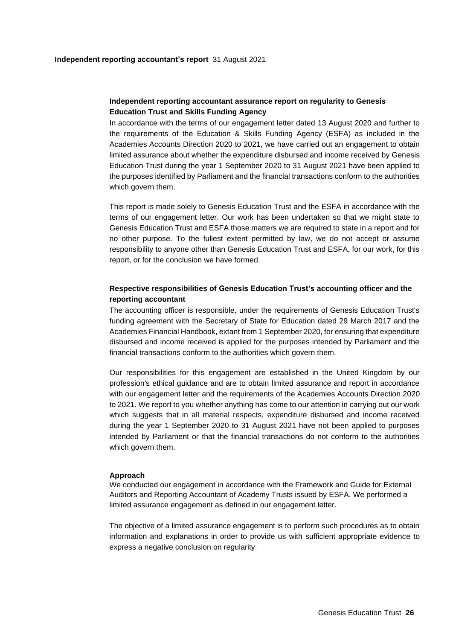## **Independent reporting accountant assurance report on regularity to Genesis Education Trust and Skills Funding Agency**

In accordance with the terms of our engagement letter dated 13 August 2020 and further to the requirements of the Education & Skills Funding Agency (ESFA) as included in the Academies Accounts Direction 2020 to 2021, we have carried out an engagement to obtain limited assurance about whether the expenditure disbursed and income received by Genesis Education Trust during the year 1 September 2020 to 31 August 2021 have been applied to the purposes identified by Parliament and the financial transactions conform to the authorities which govern them.

This report is made solely to Genesis Education Trust and the ESFA in accordance with the terms of our engagement letter. Our work has been undertaken so that we might state to Genesis Education Trust and ESFA those matters we are required to state in a report and for no other purpose. To the fullest extent permitted by law, we do not accept or assume responsibility to anyone other than Genesis Education Trust and ESFA, for our work, for this report, or for the conclusion we have formed.

## **Respective responsibilities of Genesis Education Trust's accounting officer and the reporting accountant**

The accounting officer is responsible, under the requirements of Genesis Education Trust's funding agreement with the Secretary of State for Education dated 29 March 2017 and the Academies Financial Handbook, extant from 1 September 2020, for ensuring that expenditure disbursed and income received is applied for the purposes intended by Parliament and the financial transactions conform to the authorities which govern them.

Our responsibilities for this engagement are established in the United Kingdom by our profession's ethical guidance and are to obtain limited assurance and report in accordance with our engagement letter and the requirements of the Academies Accounts Direction 2020 to 2021. We report to you whether anything has come to our attention in carrying out our work which suggests that in all material respects, expenditure disbursed and income received during the year 1 September 2020 to 31 August 2021 have not been applied to purposes intended by Parliament or that the financial transactions do not conform to the authorities which govern them.

#### **Approach**

We conducted our engagement in accordance with the Framework and Guide for External Auditors and Reporting Accountant of Academy Trusts issued by ESFA. We performed a limited assurance engagement as defined in our engagement letter.

The objective of a limited assurance engagement is to perform such procedures as to obtain information and explanations in order to provide us with sufficient appropriate evidence to express a negative conclusion on regularity.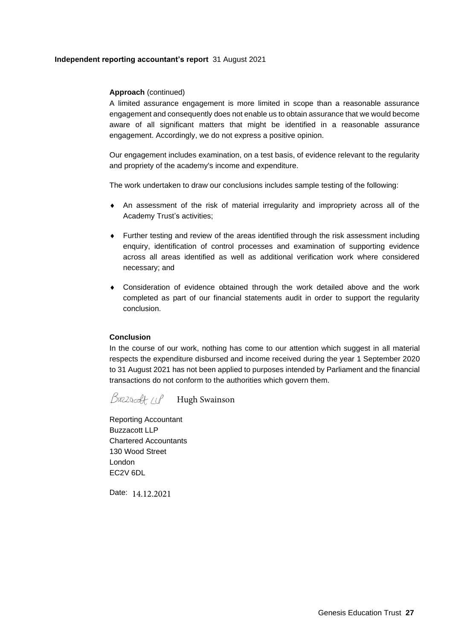### **Independent reporting accountant's report** 31 August 2021

### **Approach** (continued)

A limited assurance engagement is more limited in scope than a reasonable assurance engagement and consequently does not enable us to obtain assurance that we would become aware of all significant matters that might be identified in a reasonable assurance engagement. Accordingly, we do not express a positive opinion.

Our engagement includes examination, on a test basis, of evidence relevant to the regularity and propriety of the academy's income and expenditure.

The work undertaken to draw our conclusions includes sample testing of the following:

- An assessment of the risk of material irregularity and impropriety across all of the Academy Trust's activities;
- Further testing and review of the areas identified through the risk assessment including enquiry, identification of control processes and examination of supporting evidence across all areas identified as well as additional verification work where considered necessary; and
- Consideration of evidence obtained through the work detailed above and the work completed as part of our financial statements audit in order to support the regularity conclusion.

#### **Conclusion**

In the course of our work, nothing has come to our attention which suggest in all material respects the expenditure disbursed and income received during the year 1 September 2020 to 31 August 2021 has not been applied to purposes intended by Parliament and the financial transactions do not conform to the authorities which govern them.

Buzzardt 11P Hugh Swainson

Reporting Accountant Buzzacott LLP Chartered Accountants 130 Wood Street London EC2V 6DL

Date: 14.12.2021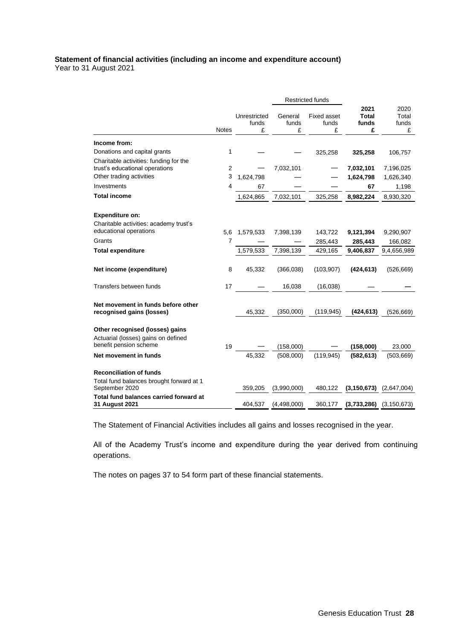## **Statement of financial activities (including an income and expenditure account)** Year to 31 August 2021

|                                                                                                                                                              |                |                                  |                                      | <b>Restricted funds</b>                     |                                                 |                                                   |
|--------------------------------------------------------------------------------------------------------------------------------------------------------------|----------------|----------------------------------|--------------------------------------|---------------------------------------------|-------------------------------------------------|---------------------------------------------------|
|                                                                                                                                                              | <b>Notes</b>   | Unrestricted<br>funds<br>£       | General<br>funds<br>£                | <b>Fixed asset</b><br>funds<br>£            | 2021<br><b>Total</b><br>funds<br>£              | 2020<br>Total<br>funds<br>£                       |
| Income from:                                                                                                                                                 |                |                                  |                                      |                                             |                                                 |                                                   |
| Donations and capital grants                                                                                                                                 | 1              |                                  |                                      | 325,258                                     | 325,258                                         | 106,757                                           |
| Charitable activities: funding for the<br>trust's educational operations                                                                                     | $\overline{2}$ |                                  | 7,032,101                            |                                             | 7,032,101                                       | 7,196,025                                         |
| Other trading activities                                                                                                                                     | 3              | 1,624,798                        |                                      |                                             | 1,624,798                                       | 1,626,340                                         |
| Investments                                                                                                                                                  | 4              | 67                               |                                      |                                             | 67                                              | 1,198                                             |
| <b>Total income</b>                                                                                                                                          |                | 1,624,865                        | 7,032,101                            | 325,258                                     | 8,982,224                                       | 8,930,320                                         |
| <b>Expenditure on:</b><br>Charitable activities: academy trust's<br>educational operations<br>Grants<br><b>Total expenditure</b><br>Net income (expenditure) | 5,6<br>7<br>8  | 1,579,533<br>1,579,533<br>45,332 | 7,398,139<br>7,398,139<br>(366, 038) | 143,722<br>285,443<br>429,165<br>(103, 907) | 9,121,394<br>285,443<br>9,406,837<br>(424, 613) | 9,290,907<br>166,082<br>9,4,656,989<br>(526, 669) |
| Transfers between funds                                                                                                                                      | 17             |                                  | 16,038                               | (16, 038)                                   |                                                 |                                                   |
| Net movement in funds before other<br>recognised gains (losses)                                                                                              |                | 45,332                           | (350,000)                            | (119, 945)                                  | (424, 613)                                      | (526, 669)                                        |
| Other recognised (losses) gains<br>Actuarial (losses) gains on defined<br>benefit pension scheme                                                             | 19             |                                  | (158,000)                            |                                             | (158,000)                                       | 23,000                                            |
| Net movement in funds                                                                                                                                        |                | 45,332                           | (508,000)                            | (119, 945)                                  | (582, 613)                                      | (503, 669)                                        |
| <b>Reconciliation of funds</b><br>Total fund balances brought forward at 1<br>September 2020                                                                 |                | 359,205                          | (3,990,000)                          | 480,122                                     | (3, 150, 673)                                   | (2,647,004)                                       |
| Total fund balances carried forward at<br>31 August 2021                                                                                                     |                | 404,537                          | (4,498,000)                          | 360,177                                     | $(3,733,286)$ $(3,150,673)$                     |                                                   |

The Statement of Financial Activities includes all gains and losses recognised in the year.

All of the Academy Trust's income and expenditure during the year derived from continuing operations.

The notes on pages 37 to 54 form part of these financial statements.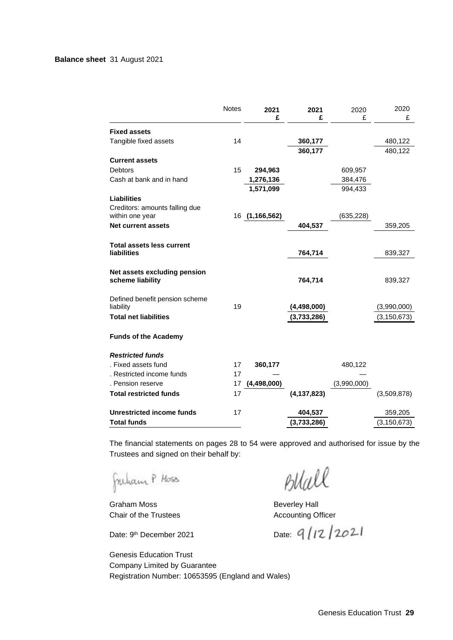|                                                        | <b>Notes</b> | 2021           | 2021          | 2020        | 2020          |
|--------------------------------------------------------|--------------|----------------|---------------|-------------|---------------|
|                                                        |              | £              | £             | £           | £             |
| <b>Fixed assets</b>                                    |              |                |               |             |               |
| Tangible fixed assets                                  | 14           |                | 360,177       |             | 480,122       |
|                                                        |              |                | 360,177       |             | 480,122       |
| <b>Current assets</b>                                  |              |                |               |             |               |
| <b>Debtors</b>                                         | 15           | 294,963        |               | 609,957     |               |
| Cash at bank and in hand                               |              | 1,276,136      |               | 384,476     |               |
|                                                        |              | 1,571,099      |               | 994,433     |               |
| <b>Liabilities</b>                                     |              |                |               |             |               |
| Creditors: amounts falling due                         |              |                |               |             |               |
| within one year                                        |              | 16 (1,166,562) |               | (635, 228)  |               |
| <b>Net current assets</b>                              |              |                | 404,537       |             | 359,205       |
|                                                        |              |                |               |             |               |
| <b>Total assets less current</b><br><b>liabilities</b> |              |                | 764,714       |             | 839,327       |
|                                                        |              |                |               |             |               |
| Net assets excluding pension                           |              |                |               |             |               |
| scheme liability                                       |              |                | 764,714       |             | 839,327       |
|                                                        |              |                |               |             |               |
| Defined benefit pension scheme                         |              |                |               |             |               |
| liability                                              | 19           |                | (4,498,000)   |             | (3,990,000)   |
| <b>Total net liabilities</b>                           |              |                | (3,733,286)   |             | (3, 150, 673) |
|                                                        |              |                |               |             |               |
| <b>Funds of the Academy</b>                            |              |                |               |             |               |
| <b>Restricted funds</b>                                |              |                |               |             |               |
| . Fixed assets fund                                    | 17           | 360,177        |               | 480,122     |               |
| . Restricted income funds                              | 17           |                |               |             |               |
| . Pension reserve                                      | 17           | (4, 498, 000)  |               | (3,990,000) |               |
| <b>Total restricted funds</b>                          | 17           |                | (4, 137, 823) |             | (3,509,878)   |
|                                                        |              |                |               |             |               |
| <b>Unrestricted income funds</b>                       | 17           |                | 404,537       |             | 359,205       |
| <b>Total funds</b>                                     |              |                | (3,733,286)   |             | (3, 150, 673) |

The financial statements on pages 28 to 54 were approved and authorised for issue by the Trustees and signed on their behalf by:

Freham P Hoss

Graham Moss **Beverley Hall** Chair of the Trustees **Accounting Officer** 

Date: 9<sup>th</sup> December 2021 Date:

Blall

Genesis Education Trust Company Limited by Guarantee Registration Number: 10653595 (England and Wales)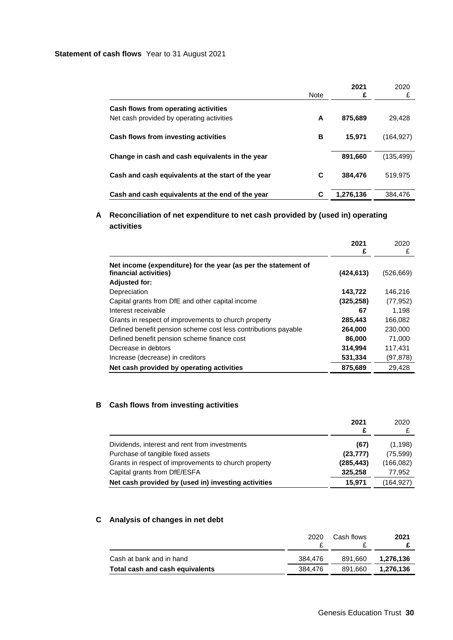### **Statement of cash flows** Year to 31 August 2021

|                                                    | <b>Note</b> | 2021<br>£ | 2020<br>£  |
|----------------------------------------------------|-------------|-----------|------------|
| Cash flows from operating activities               |             |           |            |
| Net cash provided by operating activities          | A           | 875,689   | 29,428     |
| Cash flows from investing activities               | в           | 15.971    | (164, 927) |
| Change in cash and cash equivalents in the year    |             | 891,660   | (135, 499) |
| Cash and cash equivalents at the start of the year | С           | 384,476   | 519,975    |
| Cash and cash equivalents at the end of the year   | С           | 1,276,136 | 384.476    |

## **A Reconciliation of net expenditure to net cash provided by (used in) operating activities**

|                                                                                                                 | 2021<br>£  | 2020<br>£  |
|-----------------------------------------------------------------------------------------------------------------|------------|------------|
| Net income (expenditure) for the year (as per the statement of<br>financial activities)<br><b>Adjusted for:</b> | (424, 613) | (526, 669) |
| Depreciation                                                                                                    | 143,722    | 146,216    |
| Capital grants from DfE and other capital income                                                                | (325, 258) | (77, 952)  |
| Interest receivable                                                                                             | 67         | 1.198      |
| Grants in respect of improvements to church property                                                            | 285,443    | 166,082    |
| Defined benefit pension scheme cost less contributions payable                                                  | 264,000    | 230,000    |
| Defined benefit pension scheme finance cost                                                                     | 86,000     | 71.000     |
| Decrease in debtors                                                                                             | 314,994    | 117,431    |
| Increase (decrease) in creditors                                                                                | 531,334    | (97, 878)  |
| Net cash provided by operating activities                                                                       | 875,689    | 29.428     |

## **B Cash flows from investing activities**

|                                                      | 2021<br>£  | 2020       |
|------------------------------------------------------|------------|------------|
| Dividends, interest and rent from investments        | (67)       | (1, 198)   |
| Purchase of tangible fixed assets                    | (23, 777)  | (75,599)   |
| Grants in respect of improvements to church property | (285, 443) | (166, 082) |
| Capital grants from DfE/ESFA                         | 325,258    | 77,952     |
| Net cash provided by (used in) investing activities  | 15.971     | (164, 927) |

## **C Analysis of changes in net debt**

|                                 | 2020    | Cash flows | 2021      |
|---------------------------------|---------|------------|-----------|
| Cash at bank and in hand        | 384.476 | 891.660    | 1.276.136 |
| Total cash and cash equivalents | 384.476 | 891.660    | 1.276.136 |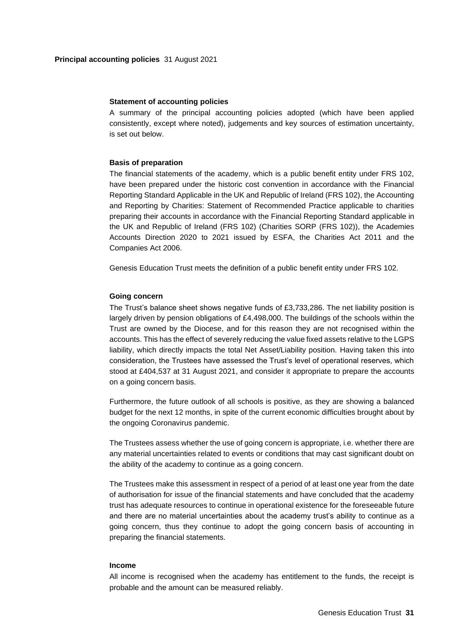#### **Statement of accounting policies**

A summary of the principal accounting policies adopted (which have been applied consistently, except where noted), judgements and key sources of estimation uncertainty, is set out below.

#### **Basis of preparation**

The financial statements of the academy, which is a public benefit entity under FRS 102, have been prepared under the historic cost convention in accordance with the Financial Reporting Standard Applicable in the UK and Republic of Ireland (FRS 102), the Accounting and Reporting by Charities: Statement of Recommended Practice applicable to charities preparing their accounts in accordance with the Financial Reporting Standard applicable in the UK and Republic of Ireland (FRS 102) (Charities SORP (FRS 102)), the Academies Accounts Direction 2020 to 2021 issued by ESFA, the Charities Act 2011 and the Companies Act 2006.

Genesis Education Trust meets the definition of a public benefit entity under FRS 102.

#### **Going concern**

The Trust's balance sheet shows negative funds of £3,733,286. The net liability position is largely driven by pension obligations of £4,498,000. The buildings of the schools within the Trust are owned by the Diocese, and for this reason they are not recognised within the accounts. This has the effect of severely reducing the value fixed assets relative to the LGPS liability, which directly impacts the total Net Asset/Liability position. Having taken this into consideration, the Trustees have assessed the Trust's level of operational reserves, which stood at £404,537 at 31 August 2021, and consider it appropriate to prepare the accounts on a going concern basis.

Furthermore, the future outlook of all schools is positive, as they are showing a balanced budget for the next 12 months, in spite of the current economic difficulties brought about by the ongoing Coronavirus pandemic.

The Trustees assess whether the use of going concern is appropriate, i.e. whether there are any material uncertainties related to events or conditions that may cast significant doubt on the ability of the academy to continue as a going concern.

The Trustees make this assessment in respect of a period of at least one year from the date of authorisation for issue of the financial statements and have concluded that the academy trust has adequate resources to continue in operational existence for the foreseeable future and there are no material uncertainties about the academy trust's ability to continue as a going concern, thus they continue to adopt the going concern basis of accounting in preparing the financial statements.

#### **Income**

All income is recognised when the academy has entitlement to the funds, the receipt is probable and the amount can be measured reliably.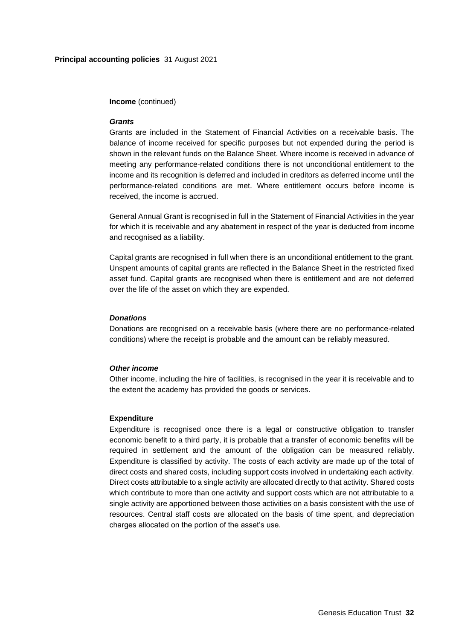#### **Income** (continued)

#### *Grants*

Grants are included in the Statement of Financial Activities on a receivable basis. The balance of income received for specific purposes but not expended during the period is shown in the relevant funds on the Balance Sheet. Where income is received in advance of meeting any performance-related conditions there is not unconditional entitlement to the income and its recognition is deferred and included in creditors as deferred income until the performance-related conditions are met. Where entitlement occurs before income is received, the income is accrued.

General Annual Grant is recognised in full in the Statement of Financial Activities in the year for which it is receivable and any abatement in respect of the year is deducted from income and recognised as a liability.

Capital grants are recognised in full when there is an unconditional entitlement to the grant. Unspent amounts of capital grants are reflected in the Balance Sheet in the restricted fixed asset fund. Capital grants are recognised when there is entitlement and are not deferred over the life of the asset on which they are expended.

#### *Donations*

Donations are recognised on a receivable basis (where there are no performance-related conditions) where the receipt is probable and the amount can be reliably measured.

#### *Other income*

Other income, including the hire of facilities, is recognised in the year it is receivable and to the extent the academy has provided the goods or services.

#### **Expenditure**

Expenditure is recognised once there is a legal or constructive obligation to transfer economic benefit to a third party, it is probable that a transfer of economic benefits will be required in settlement and the amount of the obligation can be measured reliably. Expenditure is classified by activity. The costs of each activity are made up of the total of direct costs and shared costs, including support costs involved in undertaking each activity. Direct costs attributable to a single activity are allocated directly to that activity. Shared costs which contribute to more than one activity and support costs which are not attributable to a single activity are apportioned between those activities on a basis consistent with the use of resources. Central staff costs are allocated on the basis of time spent, and depreciation charges allocated on the portion of the asset's use.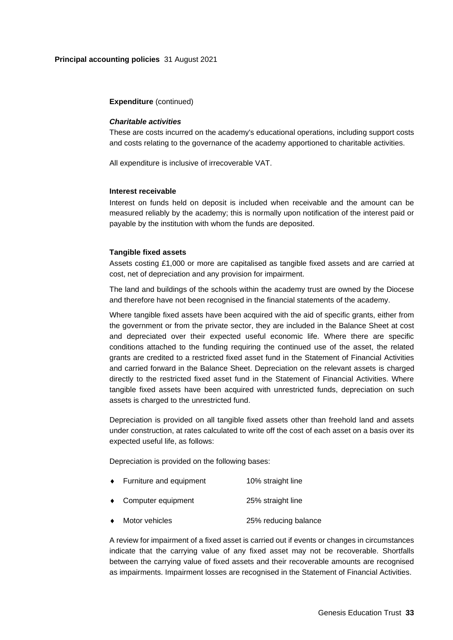#### **Expenditure** (continued)

#### *Charitable activities*

These are costs incurred on the academy's educational operations, including support costs and costs relating to the governance of the academy apportioned to charitable activities.

All expenditure is inclusive of irrecoverable VAT.

#### **Interest receivable**

Interest on funds held on deposit is included when receivable and the amount can be measured reliably by the academy; this is normally upon notification of the interest paid or payable by the institution with whom the funds are deposited.

#### **Tangible fixed assets**

Assets costing £1,000 or more are capitalised as tangible fixed assets and are carried at cost, net of depreciation and any provision for impairment.

The land and buildings of the schools within the academy trust are owned by the Diocese and therefore have not been recognised in the financial statements of the academy.

Where tangible fixed assets have been acquired with the aid of specific grants, either from the government or from the private sector, they are included in the Balance Sheet at cost and depreciated over their expected useful economic life. Where there are specific conditions attached to the funding requiring the continued use of the asset, the related grants are credited to a restricted fixed asset fund in the Statement of Financial Activities and carried forward in the Balance Sheet. Depreciation on the relevant assets is charged directly to the restricted fixed asset fund in the Statement of Financial Activities. Where tangible fixed assets have been acquired with unrestricted funds, depreciation on such assets is charged to the unrestricted fund.

Depreciation is provided on all tangible fixed assets other than freehold land and assets under construction, at rates calculated to write off the cost of each asset on a basis over its expected useful life, as follows:

Depreciation is provided on the following bases:

- ◆ Furniture and equipment 10% straight line
- Computer equipment 25% straight line
- Motor vehicles 25% reducing balance

A review for impairment of a fixed asset is carried out if events or changes in circumstances indicate that the carrying value of any fixed asset may not be recoverable. Shortfalls between the carrying value of fixed assets and their recoverable amounts are recognised as impairments. Impairment losses are recognised in the Statement of Financial Activities.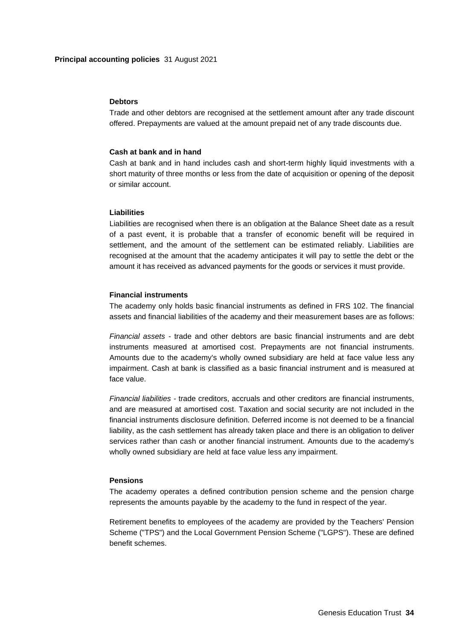#### **Debtors**

Trade and other debtors are recognised at the settlement amount after any trade discount offered. Prepayments are valued at the amount prepaid net of any trade discounts due.

#### **Cash at bank and in hand**

Cash at bank and in hand includes cash and short-term highly liquid investments with a short maturity of three months or less from the date of acquisition or opening of the deposit or similar account.

## **Liabilities**

Liabilities are recognised when there is an obligation at the Balance Sheet date as a result of a past event, it is probable that a transfer of economic benefit will be required in settlement, and the amount of the settlement can be estimated reliably. Liabilities are recognised at the amount that the academy anticipates it will pay to settle the debt or the amount it has received as advanced payments for the goods or services it must provide.

## **Financial instruments**

The academy only holds basic financial instruments as defined in FRS 102. The financial assets and financial liabilities of the academy and their measurement bases are as follows:

*Financial assets -* trade and other debtors are basic financial instruments and are debt instruments measured at amortised cost. Prepayments are not financial instruments. Amounts due to the academy's wholly owned subsidiary are held at face value less any impairment. Cash at bank is classified as a basic financial instrument and is measured at face value.

*Financial liabilities -* trade creditors, accruals and other creditors are financial instruments, and are measured at amortised cost. Taxation and social security are not included in the financial instruments disclosure definition. Deferred income is not deemed to be a financial liability, as the cash settlement has already taken place and there is an obligation to deliver services rather than cash or another financial instrument. Amounts due to the academy's wholly owned subsidiary are held at face value less any impairment.

## **Pensions**

The academy operates a defined contribution pension scheme and the pension charge represents the amounts payable by the academy to the fund in respect of the year.

Retirement benefits to employees of the academy are provided by the Teachers' Pension Scheme ("TPS") and the Local Government Pension Scheme ("LGPS"). These are defined benefit schemes.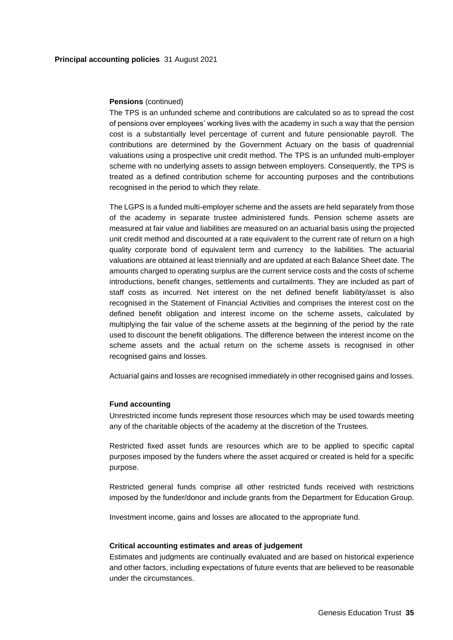#### **Pensions** (continued)

The TPS is an unfunded scheme and contributions are calculated so as to spread the cost of pensions over employees' working lives with the academy in such a way that the pension cost is a substantially level percentage of current and future pensionable payroll. The contributions are determined by the Government Actuary on the basis of quadrennial valuations using a prospective unit credit method. The TPS is an unfunded multi-employer scheme with no underlying assets to assign between employers. Consequently, the TPS is treated as a defined contribution scheme for accounting purposes and the contributions recognised in the period to which they relate.

The LGPS is a funded multi-employer scheme and the assets are held separately from those of the academy in separate trustee administered funds. Pension scheme assets are measured at fair value and liabilities are measured on an actuarial basis using the projected unit credit method and discounted at a rate equivalent to the current rate of return on a high quality corporate bond of equivalent term and currency to the liabilities. The actuarial valuations are obtained at least triennially and are updated at each Balance Sheet date. The amounts charged to operating surplus are the current service costs and the costs of scheme introductions, benefit changes, settlements and curtailments. They are included as part of staff costs as incurred. Net interest on the net defined benefit liability/asset is also recognised in the Statement of Financial Activities and comprises the interest cost on the defined benefit obligation and interest income on the scheme assets, calculated by multiplying the fair value of the scheme assets at the beginning of the period by the rate used to discount the benefit obligations. The difference between the interest income on the scheme assets and the actual return on the scheme assets is recognised in other recognised gains and losses.

Actuarial gains and losses are recognised immediately in other recognised gains and losses.

### **Fund accounting**

Unrestricted income funds represent those resources which may be used towards meeting any of the charitable objects of the academy at the discretion of the Trustees.

Restricted fixed asset funds are resources which are to be applied to specific capital purposes imposed by the funders where the asset acquired or created is held for a specific purpose.

Restricted general funds comprise all other restricted funds received with restrictions imposed by the funder/donor and include grants from the Department for Education Group.

Investment income, gains and losses are allocated to the appropriate fund.

#### **Critical accounting estimates and areas of judgement**

Estimates and judgments are continually evaluated and are based on historical experience and other factors, including expectations of future events that are believed to be reasonable under the circumstances.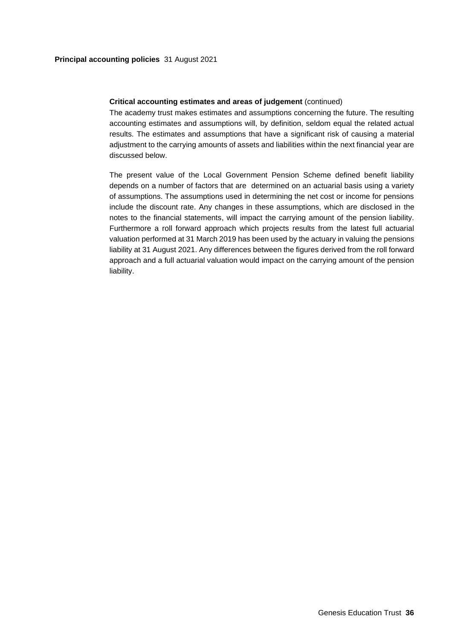## **Critical accounting estimates and areas of judgement** (continued)

The academy trust makes estimates and assumptions concerning the future. The resulting accounting estimates and assumptions will, by definition, seldom equal the related actual results. The estimates and assumptions that have a significant risk of causing a material adjustment to the carrying amounts of assets and liabilities within the next financial year are discussed below.

The present value of the Local Government Pension Scheme defined benefit liability depends on a number of factors that are determined on an actuarial basis using a variety of assumptions. The assumptions used in determining the net cost or income for pensions include the discount rate. Any changes in these assumptions, which are disclosed in the notes to the financial statements, will impact the carrying amount of the pension liability. Furthermore a roll forward approach which projects results from the latest full actuarial valuation performed at 31 March 2019 has been used by the actuary in valuing the pensions liability at 31 August 2021. Any differences between the figures derived from the roll forward approach and a full actuarial valuation would impact on the carrying amount of the pension liability.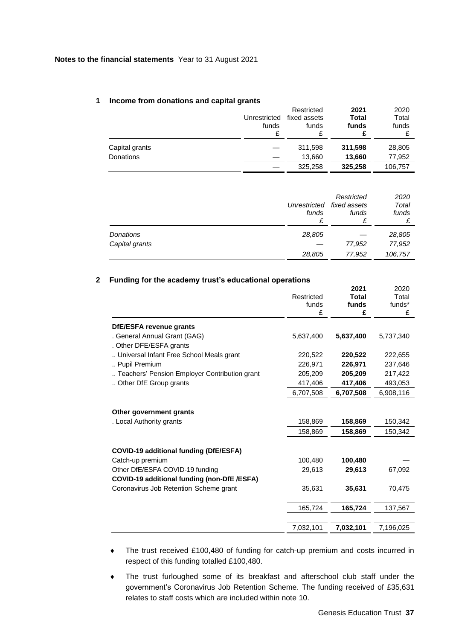## **1 Income from donations and capital grants**

|                                    | Unrestricted<br>funds | Restricted<br>fixed assets<br>funds<br>£ | 2021<br>Total<br>funds | 2020<br>Total<br>funds |
|------------------------------------|-----------------------|------------------------------------------|------------------------|------------------------|
| Capital grants<br><b>Donations</b> |                       | 311,598<br>13.660                        | 311,598<br>13,660      | 28,805<br>77,952       |
|                                    |                       | 325,258                                  | 325,258                | 106,757                |

|                             | Unrestricted<br>funds<br>£ | Restricted<br>fixed assets<br>funds | 2020<br>Total<br>funds |
|-----------------------------|----------------------------|-------------------------------------|------------------------|
| Donations<br>Capital grants | 28,805                     | 77,952                              | 28,805<br>77,952       |
|                             | 28,805                     | 77,952                              | 106,757                |

### **2 Funding for the academy trust's educational operations**

|                                               | Restricted<br>funds<br>£ | 2021<br><b>Total</b><br>funds<br>£ | 2020<br>Total<br>funds*<br>£ |
|-----------------------------------------------|--------------------------|------------------------------------|------------------------------|
| DfE/ESFA revenue grants                       |                          |                                    |                              |
| . General Annual Grant (GAG)                  | 5,637,400                | 5,637,400                          | 5,737,340                    |
| . Other DFE/ESFA grants                       |                          |                                    |                              |
| Universal Infant Free School Meals grant      | 220,522                  | 220,522                            | 222,655                      |
| Pupil Premium                                 | 226,971                  | 226,971                            | 237,646                      |
| Teachers' Pension Employer Contribution grant | 205,209                  | 205,209                            | 217,422                      |
| Other DfE Group grants                        | 417,406                  | 417,406                            | 493,053                      |
|                                               | 6,707,508                | 6,707,508                          | 6,908,116                    |
|                                               |                          |                                    |                              |
| Other government grants                       |                          |                                    |                              |
| . Local Authority grants                      | 158,869                  | 158,869                            | 150,342                      |
|                                               | 158,869                  | 158,869                            | 150,342                      |
| <b>COVID-19 additional funding (DfE/ESFA)</b> |                          |                                    |                              |
| Catch-up premium                              | 100,480                  | 100,480                            |                              |
| Other DfE/ESFA COVID-19 funding               | 29,613                   | 29,613                             | 67,092                       |
| COVID-19 additional funding (non-DfE /ESFA)   |                          |                                    |                              |
| Coronavirus Job Retention Scheme grant        | 35,631                   | 35,631                             | 70,475                       |
|                                               | 165,724                  | 165,724                            | 137,567                      |
|                                               |                          |                                    |                              |
|                                               | 7,032,101                | 7,032,101                          | 7,196,025                    |

- The trust received £100,480 of funding for catch-up premium and costs incurred in respect of this funding totalled £100,480.
- The trust furloughed some of its breakfast and afterschool club staff under the government's Coronavirus Job Retention Scheme. The funding received of £35,631 relates to staff costs which are included within note 10.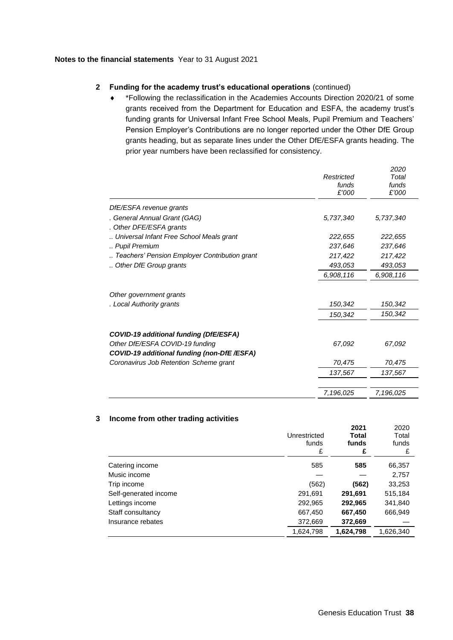## **2 Funding for the academy trust's educational operations** (continued)

 \*Following the reclassification in the Academies Accounts Direction 2020/21 of some grants received from the Department for Education and ESFA, the academy trust's funding grants for Universal Infant Free School Meals, Pupil Premium and Teachers' Pension Employer's Contributions are no longer reported under the Other DfE Group grants heading, but as separate lines under the Other DfE/ESFA grants heading. The prior year numbers have been reclassified for consistency.

|                                               |            | 2020      |
|-----------------------------------------------|------------|-----------|
|                                               | Restricted | Total     |
|                                               | funds      | funds     |
|                                               | £'000      | £'000     |
| DfE/ESFA revenue grants                       |            |           |
| . General Annual Grant (GAG)                  | 5,737,340  | 5,737,340 |
| . Other DFE/ESFA grants                       |            |           |
| Universal Infant Free School Meals grant      | 222,655    | 222,655   |
| Pupil Premium                                 | 237,646    | 237,646   |
| Teachers' Pension Employer Contribution grant | 217,422    | 217,422   |
| Other DfE Group grants                        | 493,053    | 493,053   |
|                                               | 6,908,116  | 6,908,116 |
| Other government grants                       |            |           |
| . Local Authority grants                      | 150,342    | 150,342   |
|                                               | 150,342    | 150,342   |
| COVID-19 additional funding (DfE/ESFA)        |            |           |
| Other DfE/ESFA COVID-19 funding               | 67,092     | 67,092    |
| COVID-19 additional funding (non-DfE/ESFA)    |            |           |
| Coronavirus Job Retention Scheme grant        | 70,475     | 70,475    |
|                                               | 137,567    | 137,567   |
|                                               |            |           |
|                                               | 7,196,025  | 7,196,025 |

#### **3 Income from other trading activities**

|                       | Unrestricted<br>funds<br>£ | 2021<br>Total<br>funds<br>£ | 2020<br>Total<br>funds<br>£ |
|-----------------------|----------------------------|-----------------------------|-----------------------------|
| Catering income       | 585                        | 585                         | 66,357                      |
| Music income          |                            |                             | 2,757                       |
| Trip income           | (562)                      | (562)                       | 33,253                      |
| Self-generated income | 291,691                    | 291,691                     | 515,184                     |
| Lettings income       | 292,965                    | 292,965                     | 341,840                     |
| Staff consultancy     | 667,450                    | 667,450                     | 666,949                     |
| Insurance rebates     | 372,669                    | 372,669                     |                             |
|                       | 1,624,798                  | 1,624,798                   | 1,626,340                   |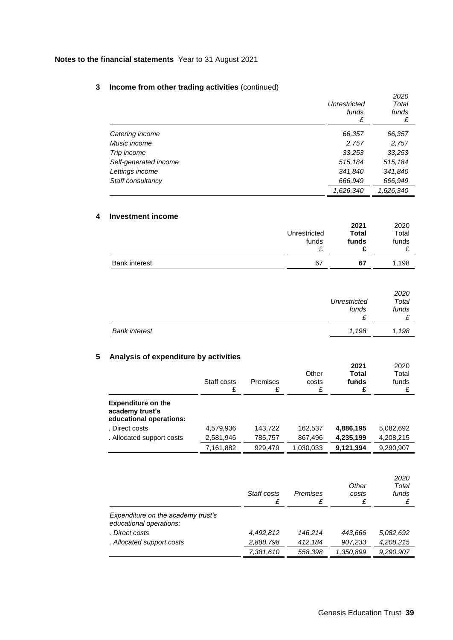## **3 Income from other trading activities** (continued)

|                       | Unrestricted<br>funds<br>£ | 2020<br>Total<br>funds<br>£ |
|-----------------------|----------------------------|-----------------------------|
| Catering income       | 66,357                     | 66,357                      |
| Music income          | 2,757                      | 2,757                       |
| Trip income           | 33,253                     | 33,253                      |
| Self-generated income | 515,184                    | 515,184                     |
| Lettings income       | 341,840                    | 341,840                     |
| Staff consultancy     | 666,949                    | 666,949                     |
|                       | 1,626,340                  | 1,626,340                   |

## **4 Investment income**

|                      | Unrestricted<br>funds | 2021<br><b>Total</b><br>funds | 2020<br>Total<br>funds |
|----------------------|-----------------------|-------------------------------|------------------------|
| <b>Bank interest</b> | 67                    | 67                            | 1,198                  |

|                      | Unrestricted<br>funds | 2020<br>Total<br>funds |  |
|----------------------|-----------------------|------------------------|--|
| <b>Bank interest</b> | 1,198                 | 1,198                  |  |

## **5 Analysis of expenditure by activities**

|                                                                         | Staff costs<br>£ | Premises<br>£ | Other<br>costs<br>£ | 2021<br><b>Total</b><br>funds<br>£ | 2020<br>Total<br>funds |
|-------------------------------------------------------------------------|------------------|---------------|---------------------|------------------------------------|------------------------|
| <b>Expenditure on the</b><br>academy trust's<br>educational operations: |                  |               |                     |                                    |                        |
| . Direct costs                                                          | 4,579,936        | 143,722       | 162,537             | 4,886,195                          | 5,082,692              |
| . Allocated support costs                                               | 2,581,946        | 785,757       | 867,496             | 4,235,199                          | 4,208,215              |
|                                                                         | 7,161,882        | 929.479       | 1,030,033           | 9,121,394                          | 9,290,907              |

|                                                               | Staff costs<br>£ | Premises<br>£ | Other<br>costs<br>£ | 2020<br>Total<br>funds |
|---------------------------------------------------------------|------------------|---------------|---------------------|------------------------|
| Expenditure on the academy trust's<br>educational operations: |                  |               |                     |                        |
| . Direct costs                                                | 4,492,812        | 146.214       | 443.666             | 5,082,692              |
| . Allocated support costs                                     | 2,888,798        | 412,184       | 907,233             | 4,208,215              |
|                                                               | 7,381,610        | 558,398       | 1,350,899           | 9,290,907              |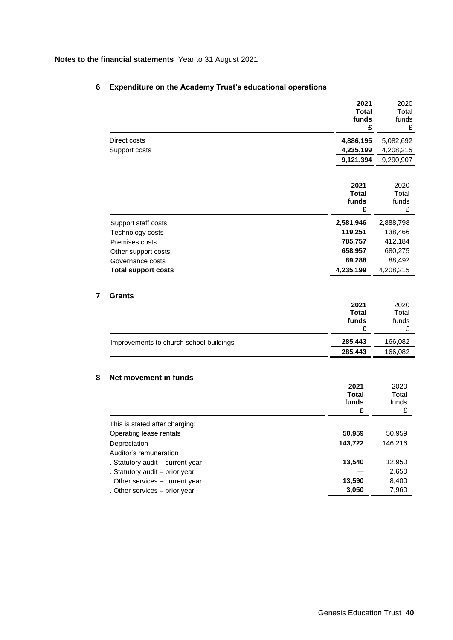| 4,886,195<br>5,082,692<br>4,235,199<br>9,121,394<br>2020<br>Total<br>funds<br>£<br>2,888,798<br>138,466<br>412,184<br>680,275<br>88,492<br>4,208,215 |
|------------------------------------------------------------------------------------------------------------------------------------------------------|
| 4,208,215<br>9,290,907                                                                                                                               |
|                                                                                                                                                      |
|                                                                                                                                                      |
|                                                                                                                                                      |
|                                                                                                                                                      |
|                                                                                                                                                      |
|                                                                                                                                                      |
|                                                                                                                                                      |
|                                                                                                                                                      |
|                                                                                                                                                      |
|                                                                                                                                                      |
|                                                                                                                                                      |
|                                                                                                                                                      |
| Total<br>funds<br>£                                                                                                                                  |
| 166,082                                                                                                                                              |
| 166,082                                                                                                                                              |
|                                                                                                                                                      |
| 2020                                                                                                                                                 |
| Total                                                                                                                                                |
| funds<br>£                                                                                                                                           |
|                                                                                                                                                      |
| 50,959                                                                                                                                               |
| 146,216                                                                                                                                              |
|                                                                                                                                                      |
|                                                                                                                                                      |
|                                                                                                                                                      |
| 12,950<br>2,650                                                                                                                                      |
| 8,400                                                                                                                                                |
|                                                                                                                                                      |

## **6 Expenditure on the Academy Trust's educational operations**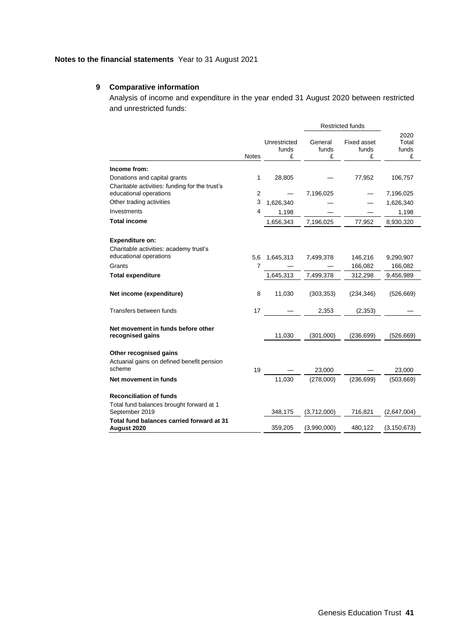## **9 Comparative information**

Analysis of income and expenditure in the year ended 31 August 2020 between restricted and unrestricted funds:

|                                                                                              |                |                            |                       | <b>Restricted funds</b>   |                             |
|----------------------------------------------------------------------------------------------|----------------|----------------------------|-----------------------|---------------------------|-----------------------------|
|                                                                                              | <b>Notes</b>   | Unrestricted<br>funds<br>£ | General<br>funds<br>£ | Fixed asset<br>funds<br>£ | 2020<br>Total<br>funds<br>£ |
| Income from:                                                                                 |                |                            |                       |                           |                             |
| Donations and capital grants<br>Charitable activities: funding for the trust's               | 1              | 28,805                     |                       | 77,952                    | 106,757                     |
| educational operations                                                                       | $\overline{2}$ |                            | 7,196,025             |                           | 7,196,025                   |
| Other trading activities                                                                     | 3              | 1,626,340                  |                       |                           | 1,626,340                   |
| Investments                                                                                  | 4              | 1,198                      |                       |                           | 1,198                       |
| <b>Total income</b>                                                                          |                | 1,656,343                  | 7,196,025             | 77,952                    | 8,930,320                   |
| <b>Expenditure on:</b><br>Charitable activities: academy trust's<br>educational operations   | 5,6            | 1,645,313                  | 7,499,378             | 146,216                   | 9,290,907                   |
| Grants                                                                                       | 7              |                            |                       | 166,082                   | 166,082                     |
| <b>Total expenditure</b>                                                                     |                | 1,645,313                  | 7,499,378             | 312,298                   | 9,456,989                   |
| Net income (expenditure)                                                                     | 8              | 11,030                     | (303, 353)            | (234, 346)                | (526, 669)                  |
| Transfers between funds                                                                      | 17             |                            | 2,353                 | (2, 353)                  |                             |
| Net movement in funds before other<br>recognised gains                                       |                | 11,030                     | (301,000)             | (236, 699)                | (526, 669)                  |
| Other recognised gains<br>Actuarial gains on defined benefit pension<br>scheme               | 19             |                            | 23,000                |                           | 23,000                      |
| Net movement in funds                                                                        |                | 11,030                     | (278,000)             | (236, 699)                | (503, 669)                  |
| <b>Reconciliation of funds</b><br>Total fund balances brought forward at 1<br>September 2019 |                | 348,175                    | (3,712,000)           | 716,821                   | (2,647,004)                 |
| Total fund balances carried forward at 31<br>August 2020                                     |                | 359,205                    | (3,990,000)           | 480,122                   | (3, 150, 673)               |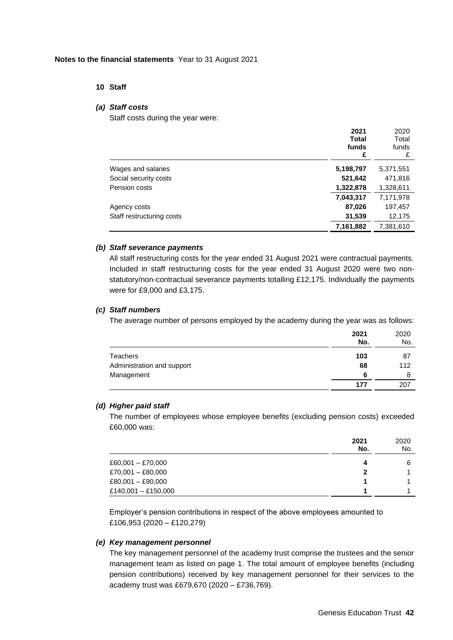## **10 Staff**

### *(a) Staff costs*

Staff costs during the year were:

|                           | 2021<br><b>Total</b><br>funds<br>£ | 2020<br>Total<br>funds<br>£ |
|---------------------------|------------------------------------|-----------------------------|
| Wages and salaries        | 5,198,797                          | 5,371,551                   |
| Social security costs     | 521,642                            | 471,816                     |
| Pension costs             | 1,322,878                          | 1,328,611                   |
|                           | 7,043,317                          | 7,171,978                   |
| Agency costs              | 87,026                             | 197,457                     |
| Staff restructuring costs | 31,539                             | 12,175                      |
|                           | 7,161,882                          | 7,381,610                   |
|                           |                                    |                             |

## *(b) Staff severance payments*

All staff restructuring costs for the year ended 31 August 2021 were contractual payments. Included in staff restructuring costs for the year ended 31 August 2020 were two nonstatutory/non-contractual severance payments totalling £12,175. Individually the payments were for £9,000 and £3,175.

### *(c) Staff numbers*

The average number of persons employed by the academy during the year was as follows:

|                            | 2021<br>No. | 2020<br>No. |
|----------------------------|-------------|-------------|
| <b>Teachers</b>            | 103         | 87          |
| Administration and support | 68          | 112         |
| Management                 | 6           | 8           |
|                            | 177         | 207         |

## *(d) Higher paid staff*

The number of employees whose employee benefits (excluding pension costs) exceeded £60,000 was:

|                     | 2021<br>No. | 2020<br>No. |
|---------------------|-------------|-------------|
| $£60,001 - £70,000$ | 4           | 6           |
| £70,001 - £80,000   |             |             |
| $£80,001 - £90,000$ |             |             |
| £140,001 - £150,000 |             |             |

Employer's pension contributions in respect of the above employees amounted to £106,953 (2020 – £120,279)

#### *(e) Key management personnel*

The key management personnel of the academy trust comprise the trustees and the senior management team as listed on page 1. The total amount of employee benefits (including pension contributions) received by key management personnel for their services to the academy trust was £679,670 (2020 – £736,769).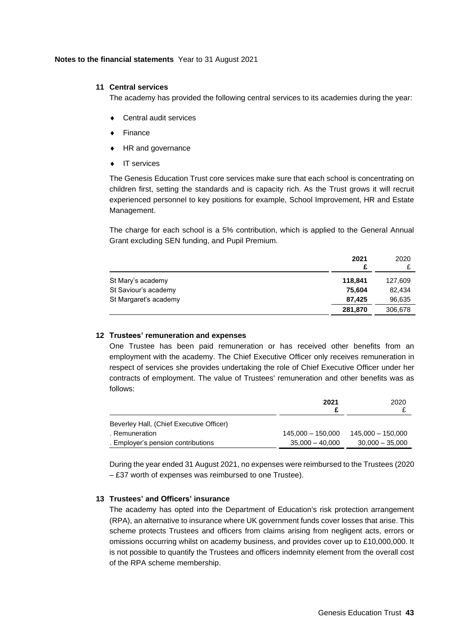### **11 Central services**

The academy has provided the following central services to its academies during the year:

- Central audit services
- ◆ Finance
- ◆ HR and governance
- ◆ IT services

The Genesis Education Trust core services make sure that each school is concentrating on children first, setting the standards and is capacity rich. As the Trust grows it will recruit experienced personnel to key positions for example, School Improvement, HR and Estate Management.

The charge for each school is a 5% contribution, which is applied to the General Annual Grant excluding SEN funding, and Pupil Premium.

|                       | 2021<br>£ | 2020    |
|-----------------------|-----------|---------|
| St Mary's academy     | 118.841   | 127,609 |
| St Saviour's academy  | 75,604    | 82,434  |
| St Margaret's academy | 87,425    | 96,635  |
|                       | 281,870   | 306,678 |

#### **12 Trustees' remuneration and expenses**

One Trustee has been paid remuneration or has received other benefits from an employment with the academy. The Chief Executive Officer only receives remuneration in respect of services she provides undertaking the role of Chief Executive Officer under her contracts of employment. The value of Trustees' remuneration and other benefits was as follows:

|                                          | 2021              | 2020              |
|------------------------------------------|-------------------|-------------------|
|                                          |                   |                   |
| Beverley Hall, (Chief Executive Officer) |                   |                   |
| . Remuneration                           | 145.000 - 150.000 | 145.000 - 150.000 |
| . Employer's pension contributions       | $35.000 - 40.000$ | $30,000 - 35,000$ |

During the year ended 31 August 2021, no expenses were reimbursed to the Trustees (2020 – £37 worth of expenses was reimbursed to one Trustee).

## **13 Trustees' and Officers' insurance**

The academy has opted into the Department of Education's risk protection arrangement (RPA), an alternative to insurance where UK government funds cover losses that arise. This scheme protects Trustees and officers from claims arising from negligent acts, errors or omissions occurring whilst on academy business, and provides cover up to £10,000,000. It is not possible to quantify the Trustees and officers indemnity element from the overall cost of the RPA scheme membership.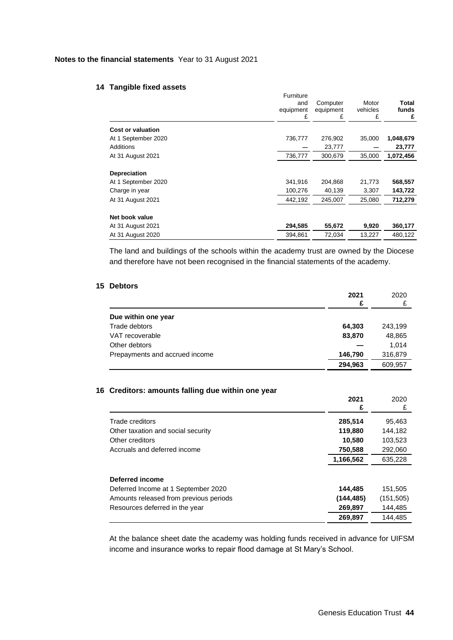#### **14 Tangible fixed assets**

|                          | Furniture<br>and<br>equipment<br>£ | Computer<br>equipment<br>£ | Motor<br>vehicles<br>£ | Total<br>funds<br>£ |
|--------------------------|------------------------------------|----------------------------|------------------------|---------------------|
| <b>Cost or valuation</b> |                                    |                            |                        |                     |
| At 1 September 2020      | 736,777                            | 276,902                    | 35,000                 | 1,048,679           |
| Additions                |                                    | 23,777                     |                        | 23,777              |
| At 31 August 2021        | 736,777                            | 300,679                    | 35,000                 | 1,072,456           |
| <b>Depreciation</b>      |                                    |                            |                        |                     |
| At 1 September 2020      | 341,916                            | 204,868                    | 21,773                 | 568,557             |
| Charge in year           | 100,276                            | 40,139                     | 3,307                  | 143,722             |
| At 31 August 2021        | 442,192                            | 245,007                    | 25,080                 | 712,279             |
| Net book value           |                                    |                            |                        |                     |
| At 31 August 2021        | 294,585                            | 55,672                     | 9,920                  | 360,177             |
| At 31 August 2020        | 394.861                            | 72,034                     | 13,227                 | 480.122             |

The land and buildings of the schools within the academy trust are owned by the Diocese and therefore have not been recognised in the financial statements of the academy.

## **15 Debtors**

|                                | 2021<br>£ | 2020    |
|--------------------------------|-----------|---------|
| Due within one year            |           |         |
| Trade debtors                  | 64,303    | 243,199 |
| VAT recoverable                | 83,870    | 48,865  |
| Other debtors                  |           | 1.014   |
| Prepayments and accrued income | 146,790   | 316,879 |
|                                | 294,963   | 609,957 |

## **16 Creditors: amounts falling due within one year**

|                                        | 2021      | 2020       |
|----------------------------------------|-----------|------------|
|                                        | £         | £          |
| Trade creditors                        | 285,514   | 95,463     |
| Other taxation and social security     | 119,880   | 144.182    |
| Other creditors                        | 10,580    | 103,523    |
| Accruals and deferred income           | 750,588   | 292,060    |
|                                        | 1,166,562 | 635.228    |
|                                        |           |            |
| Deferred income                        |           |            |
| Deferred Income at 1 September 2020    | 144,485   | 151,505    |
| Amounts released from previous periods | (144,485) | (151, 505) |
| Resources deferred in the year         | 269,897   | 144,485    |
|                                        | 269.897   | 144.485    |

At the balance sheet date the academy was holding funds received in advance for UIFSM income and insurance works to repair flood damage at St Mary's School.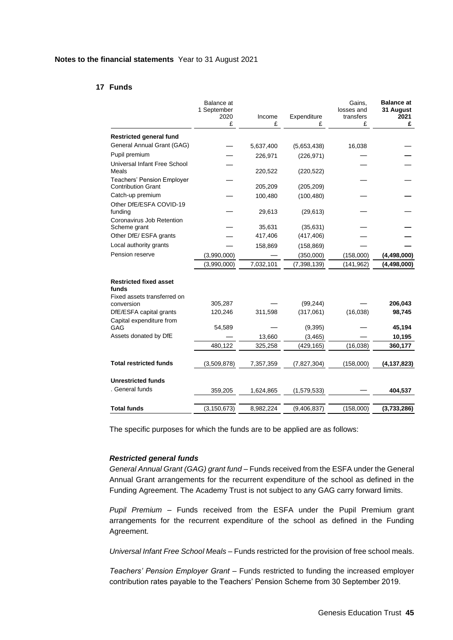## **17 Funds**

|                                                                       | Balance at<br>1 September<br>2020<br>£ | Income<br>£ | Expenditure<br>£ | Gains,<br>losses and<br>transfers<br>£ | <b>Balance at</b><br>31 August<br>2021<br>£ |
|-----------------------------------------------------------------------|----------------------------------------|-------------|------------------|----------------------------------------|---------------------------------------------|
| <b>Restricted general fund</b>                                        |                                        |             |                  |                                        |                                             |
| General Annual Grant (GAG)                                            |                                        | 5,637,400   | (5,653,438)      | 16,038                                 |                                             |
| Pupil premium                                                         |                                        | 226,971     | (226, 971)       |                                        |                                             |
| Universal Infant Free School<br>Meals                                 |                                        | 220,522     | (220, 522)       |                                        |                                             |
| <b>Teachers' Pension Employer</b><br><b>Contribution Grant</b>        |                                        | 205,209     | (205, 209)       |                                        |                                             |
| Catch-up premium                                                      |                                        | 100,480     | (100, 480)       |                                        |                                             |
| Other DfE/ESFA COVID-19<br>funding                                    |                                        | 29,613      | (29, 613)        |                                        |                                             |
| Coronavirus Job Retention<br>Scheme grant                             |                                        | 35,631      | (35, 631)        |                                        |                                             |
| Other DfE/ ESFA grants                                                |                                        | 417,406     | (417, 406)       |                                        |                                             |
| Local authority grants                                                |                                        | 158,869     | (158, 869)       |                                        |                                             |
| Pension reserve                                                       | (3,990,000)                            |             | (350,000)        | (158,000)                              | (4, 498, 000)                               |
|                                                                       | (3,990,000)                            | 7,032,101   | (7, 398, 139)    | (141, 962)                             | (4, 498, 000)                               |
| <b>Restricted fixed asset</b><br>funds<br>Fixed assets transferred on |                                        |             |                  |                                        |                                             |
| conversion                                                            | 305,287                                |             | (99, 244)        |                                        | 206,043                                     |
| DfE/ESFA capital grants                                               | 120,246                                | 311,598     | (317,061)        | (16,038)                               | 98,745                                      |
| Capital expenditure from<br>GAG                                       | 54,589                                 |             | (9, 395)         |                                        | 45,194                                      |
| Assets donated by DfE                                                 |                                        | 13,660      | (3, 465)         |                                        | 10,195                                      |
|                                                                       | 480,122                                | 325,258     | (429, 165)       | (16, 038)                              | 360,177                                     |
| <b>Total restricted funds</b>                                         | (3,509,878)                            | 7,357,359   | (7,827,304)      | (158,000)                              | (4, 137, 823)                               |
| <b>Unrestricted funds</b>                                             |                                        |             |                  |                                        |                                             |
| . General funds                                                       | 359,205                                | 1,624,865   | (1,579,533)      |                                        | 404,537                                     |
| <b>Total funds</b>                                                    | (3, 150, 673)                          | 8,982,224   | (9,406,837)      | (158,000)                              | (3,733,286)                                 |

The specific purposes for which the funds are to be applied are as follows:

#### *Restricted general funds*

*General Annual Grant (GAG) grant fund –* Funds received from the ESFA under the General Annual Grant arrangements for the recurrent expenditure of the school as defined in the Funding Agreement. The Academy Trust is not subject to any GAG carry forward limits.

*Pupil Premium –* Funds received from the ESFA under the Pupil Premium grant arrangements for the recurrent expenditure of the school as defined in the Funding Agreement.

*Universal Infant Free School Meals –* Funds restricted for the provision of free school meals.

*Teachers' Pension Employer Grant –* Funds restricted to funding the increased employer contribution rates payable to the Teachers' Pension Scheme from 30 September 2019.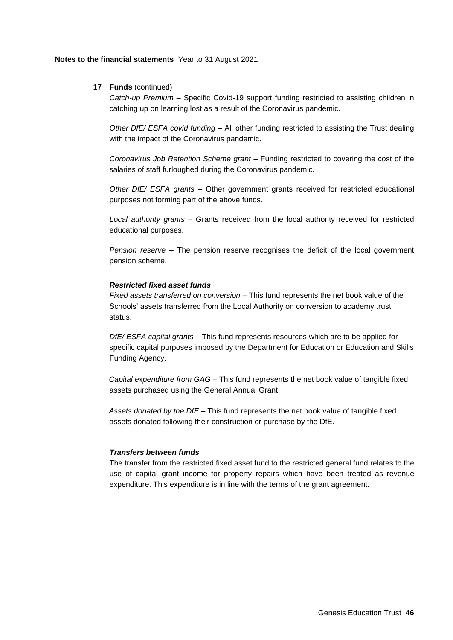## **17 Funds** (continued)

*Catch-up Premium –* Specific Covid-19 support funding restricted to assisting children in catching up on learning lost as a result of the Coronavirus pandemic.

*Other DfE/ ESFA covid funding –* All other funding restricted to assisting the Trust dealing with the impact of the Coronavirus pandemic.

*Coronavirus Job Retention Scheme grant –* Funding restricted to covering the cost of the salaries of staff furloughed during the Coronavirus pandemic.

*Other DfE/ ESFA grants –* Other government grants received for restricted educational purposes not forming part of the above funds.

*Local authority grants –* Grants received from the local authority received for restricted educational purposes.

*Pension reserve –* The pension reserve recognises the deficit of the local government pension scheme.

#### *Restricted fixed asset funds*

*Fixed assets transferred on conversion –* This fund represents the net book value of the Schools' assets transferred from the Local Authority on conversion to academy trust status.

*DfE/ ESFA capital grants –* This fund represents resources which are to be applied for specific capital purposes imposed by the Department for Education or Education and Skills Funding Agency.

*Capital expenditure from GAG –* This fund represents the net book value of tangible fixed assets purchased using the General Annual Grant.

*Assets donated by the DfE –* This fund represents the net book value of tangible fixed assets donated following their construction or purchase by the DfE.

## *Transfers between funds*

The transfer from the restricted fixed asset fund to the restricted general fund relates to the use of capital grant income for property repairs which have been treated as revenue expenditure. This expenditure is in line with the terms of the grant agreement.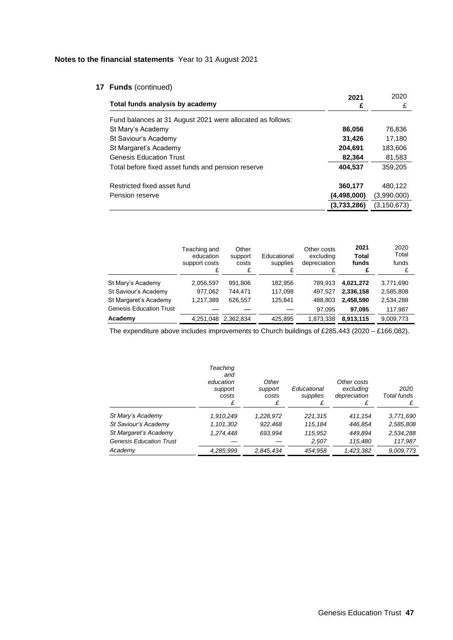## **17 Funds** (continued)

| Total funds analysis by academy                            | 2021<br>£   | 2020<br>£     |
|------------------------------------------------------------|-------------|---------------|
| Fund balances at 31 August 2021 were allocated as follows: |             |               |
| St Mary's Academy                                          | 86,056      | 76,836        |
| St Saviour's Academy                                       | 31,426      | 17,180        |
| St Margaret's Academy                                      | 204,691     | 183,606       |
| <b>Genesis Education Trust</b>                             | 82,364      | 81,583        |
| Total before fixed asset funds and pension reserve         | 404,537     | 359,205       |
| Restricted fixed asset fund                                | 360,177     | 480.122       |
| Pension reserve                                            | (4,498,000) | (3,990,000)   |
|                                                            | (3,733,286) | (3, 150, 673) |

|                                | Teaching and<br>education<br>support costs | Other<br>support<br>costs | Educational<br>supplies | Other costs<br>excluding<br>depreciation | 2021<br>Total<br>funds | 2020<br>Total<br>funds |
|--------------------------------|--------------------------------------------|---------------------------|-------------------------|------------------------------------------|------------------------|------------------------|
| St Mary's Academy              | 2,056,597                                  | 991,806                   | 182,956                 | 789.913                                  | 4.021.272              | 3,771,690              |
| St Saviour's Academy           | 977,062                                    | 744.471                   | 117.098                 | 497.527                                  | 2,336,158              | 2,585,808              |
| St Margaret's Academy          | 1.217.389                                  | 626,557                   | 125.841                 | 488.803                                  | 2.458.590              | 2,534,288              |
| <b>Genesis Education Trust</b> |                                            |                           |                         | 97.095                                   | 97.095                 | 117,987                |
| Academy                        | 4,251,048                                  | 2.362.834                 | 425,895                 | 1,873,338                                | 8.913.115              | 9,009,773              |

The expenditure above includes improvements to Church buildings of £285,443 (2020 – £166,082).

|                                | Teaching<br>and<br>education<br>support<br>costs | Other<br>support<br>costs<br>£ | Educational<br>supplies | Other costs<br>excluding<br>depreciation | 2020<br>Total funds |
|--------------------------------|--------------------------------------------------|--------------------------------|-------------------------|------------------------------------------|---------------------|
| St Mary's Academy              | 1,910,249                                        | 1,228,972                      | 221,315                 | 411,154                                  | 3,771,690           |
| St Saviour's Academy           | 1,101,302                                        | 922.468                        | 115,184                 | 446.854                                  | 2,585,808           |
| St Margaret's Academy          | 1,274,448                                        | 693.994                        | 115,952                 | 449.894                                  | 2,534,288           |
| <b>Genesis Education Trust</b> |                                                  |                                | 2,507                   | 115,480                                  | 117,987             |
| Academy                        | 4,285,999                                        | 2,845,434                      | 454,958                 | 1,423,382                                | 9.009,773           |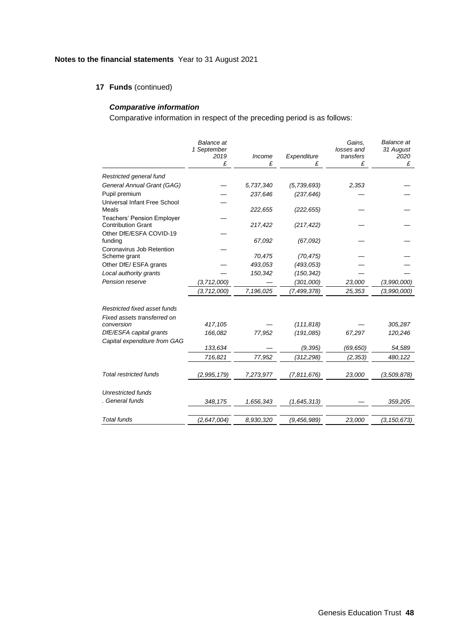## **17 Funds** (continued)

## *Comparative information*

Comparative information in respect of the preceding period is as follows:

|                                                                | <b>Balance</b> at<br>1 September<br>2019<br>£ | Income<br>£ | Expenditure<br>£ | Gains,<br>losses and<br>transfers<br>£ | <b>Balance</b> at<br>31 August<br>2020<br>£ |
|----------------------------------------------------------------|-----------------------------------------------|-------------|------------------|----------------------------------------|---------------------------------------------|
| Restricted general fund                                        |                                               |             |                  |                                        |                                             |
| General Annual Grant (GAG)                                     |                                               | 5,737,340   | (5,739,693)      | 2,353                                  |                                             |
| Pupil premium                                                  |                                               | 237,646     | (237, 646)       |                                        |                                             |
| Universal Infant Free School<br>Meals                          |                                               | 222,655     | (222, 655)       |                                        |                                             |
| <b>Teachers' Pension Employer</b><br><b>Contribution Grant</b> |                                               | 217,422     | (217, 422)       |                                        |                                             |
| Other DfE/ESFA COVID-19<br>funding                             |                                               | 67,092      | (67,092)         |                                        |                                             |
| Coronavirus Job Retention<br>Scheme grant                      |                                               | 70,475      | (70, 475)        |                                        |                                             |
| Other DfE/ ESFA grants                                         |                                               | 493,053     | (493, 053)       |                                        |                                             |
| Local authority grants                                         |                                               | 150,342     | (150, 342)       |                                        |                                             |
| Pension reserve                                                | (3, 712, 000)                                 |             | (301,000)        | 23,000                                 | (3,990,000)                                 |
|                                                                | (3,712,000)                                   | 7,196,025   | (7,499,378)      | 25,353                                 | (3,990,000)                                 |
| Restricted fixed asset funds<br>Fixed assets transferred on    |                                               |             |                  |                                        |                                             |
| conversion                                                     | 417,105                                       |             | (111, 818)       |                                        | 305,287                                     |
| DfE/ESFA capital grants<br>Capital expenditure from GAG        | 166,082                                       | 77,952      | (191.085)        | 67,297                                 | 120,246                                     |
|                                                                | 133,634                                       |             | (9, 395)         | (69, 650)                              | 54,589                                      |
|                                                                | 716,821                                       | 77,952      | (312, 298)       | (2, 353)                               | 480, 122                                    |
| <b>Total restricted funds</b>                                  | (2,995,179)                                   | 7,273,977   | (7,811,676)      | 23,000                                 | (3,509,878)                                 |
| <b>Unrestricted funds</b>                                      |                                               |             |                  |                                        |                                             |
| General funds                                                  | 348,175                                       | 1,656,343   | (1,645,313)      |                                        | 359,205                                     |
| <b>Total funds</b>                                             | (2,647,004)                                   | 8.930.320   | (9, 456, 989)    | 23,000                                 | (3, 150, 673)                               |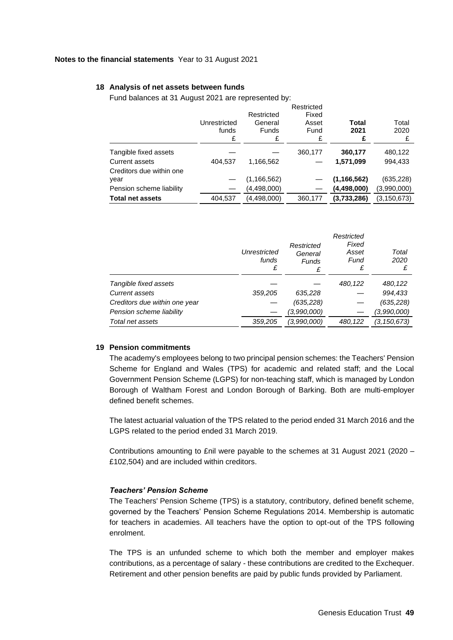#### **18 Analysis of net assets between funds**

Fund balances at 31 August 2021 are represented by:

|                                            | Unrestricted<br>funds<br>£ | Restricted<br>General<br><b>Funds</b><br>£ | Restricted<br>Fixed<br>Asset<br>Fund<br>£ | Total<br>2021<br>£ | Total<br>2020 |
|--------------------------------------------|----------------------------|--------------------------------------------|-------------------------------------------|--------------------|---------------|
| Tangible fixed assets                      |                            |                                            | 360,177                                   | 360,177            | 480,122       |
| Current assets<br>Creditors due within one | 404,537                    | 1,166,562                                  |                                           | 1,571,099          | 994,433       |
| year                                       |                            | (1, 166, 562)                              |                                           | (1, 166, 562)      | (635, 228)    |
| Pension scheme liability                   |                            | (4,498,000)                                |                                           | (4,498,000)        | (3,990,000)   |
| <b>Total net assets</b>                    | 404,537                    | (4,498,000)                                | 360,177                                   | (3,733,286)        | (3, 150, 673) |

|                               | Unrestricted<br>funds | Restricted<br>General<br><b>Funds</b><br>£ | Restricted<br>Fixed<br>Asset<br>Fund<br>£ | Total<br>2020 |
|-------------------------------|-----------------------|--------------------------------------------|-------------------------------------------|---------------|
| Tangible fixed assets         |                       |                                            | 480,122                                   | 480,122       |
| Current assets                | 359,205               | 635,228                                    |                                           | 994,433       |
| Creditors due within one year |                       | (635, 228)                                 |                                           | (635, 228)    |
| Pension scheme liability      |                       | (3,990,000)                                |                                           | (3,990,000)   |
| Total net assets              | 359.205               | (3,990,000)                                | 480.122                                   | (3,150,673)   |

#### **19 Pension commitments**

The academy's employees belong to two principal pension schemes: the Teachers' Pension Scheme for England and Wales (TPS) for academic and related staff; and the Local Government Pension Scheme (LGPS) for non-teaching staff, which is managed by London Borough of Waltham Forest and London Borough of Barking. Both are multi-employer defined benefit schemes.

The latest actuarial valuation of the TPS related to the period ended 31 March 2016 and the LGPS related to the period ended 31 March 2019.

Contributions amounting to £nil were payable to the schemes at 31 August 2021 (2020 – £102,504) and are included within creditors.

#### *Teachers' Pension Scheme*

The Teachers' Pension Scheme (TPS) is a statutory, contributory, defined benefit scheme, governed by the Teachers' Pension Scheme Regulations 2014. Membership is automatic for teachers in academies. All teachers have the option to opt-out of the TPS following enrolment.

The TPS is an unfunded scheme to which both the member and employer makes contributions, as a percentage of salary - these contributions are credited to the Exchequer. Retirement and other pension benefits are paid by public funds provided by Parliament.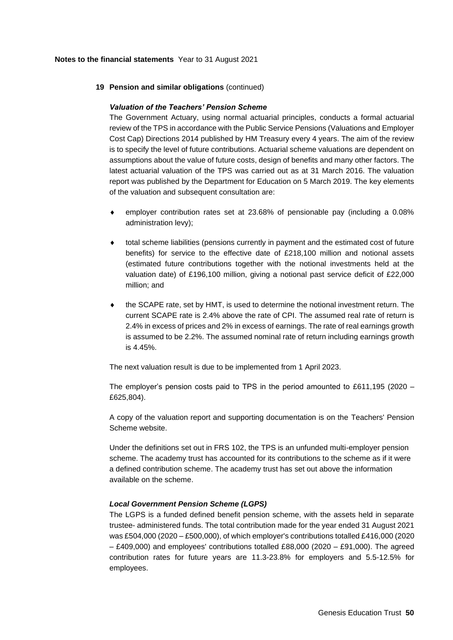### **19 Pension and similar obligations** (continued)

#### *Valuation of the Teachers' Pension Scheme*

The Government Actuary, using normal actuarial principles, conducts a formal actuarial review of the TPS in accordance with the Public Service Pensions (Valuations and Employer Cost Cap) Directions 2014 published by HM Treasury every 4 years. The aim of the review is to specify the level of future contributions. Actuarial scheme valuations are dependent on assumptions about the value of future costs, design of benefits and many other factors. The latest actuarial valuation of the TPS was carried out as at 31 March 2016. The valuation report was published by the Department for Education on 5 March 2019. The key elements of the valuation and subsequent consultation are:

- employer contribution rates set at 23.68% of pensionable pay (including a 0.08% administration levy);
- total scheme liabilities (pensions currently in payment and the estimated cost of future benefits) for service to the effective date of £218,100 million and notional assets (estimated future contributions together with the notional investments held at the valuation date) of £196,100 million, giving a notional past service deficit of £22,000 million; and
- the SCAPE rate, set by HMT, is used to determine the notional investment return. The current SCAPE rate is 2.4% above the rate of CPI. The assumed real rate of return is 2.4% in excess of prices and 2% in excess of earnings. The rate of real earnings growth is assumed to be 2.2%. The assumed nominal rate of return including earnings growth is 4.45%.

The next valuation result is due to be implemented from 1 April 2023.

The employer's pension costs paid to TPS in the period amounted to £611,195 (2020 – £625,804).

A copy of the valuation report and supporting documentation is on the [Teachers' Pension](https://www.teacherspensions.co.uk/news/public-news/2019/04/teachers-pensions-valuation-report.aspx)  [Scheme website.](https://www.teacherspensions.co.uk/news/public-news/2019/04/teachers-pensions-valuation-report.aspx)

Under the definitions set out in FRS 102, the TPS is an unfunded multi-employer pension scheme. The academy trust has accounted for its contributions to the scheme as if it were a defined contribution scheme. The academy trust has set out above the information available on the scheme.

#### *Local Government Pension Scheme (LGPS)*

The LGPS is a funded defined benefit pension scheme, with the assets held in separate trustee- administered funds. The total contribution made for the year ended 31 August 2021 was £504,000 (2020 – £500,000), of which employer's contributions totalled £416,000 (2020 – £409,000) and employees' contributions totalled £88,000 (2020 – £91,000). The agreed contribution rates for future years are 11.3-23.8% for employers and 5.5-12.5% for employees.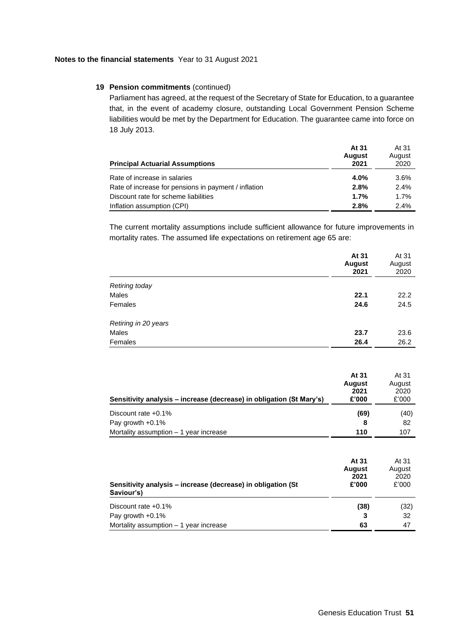### **19 Pension commitments** (continued)

Parliament has agreed, at the request of the Secretary of State for Education, to a guarantee that, in the event of academy closure, outstanding Local Government Pension Scheme liabilities would be met by the Department for Education. The guarantee came into force on 18 July 2013.

| <b>Principal Actuarial Assumptions</b>               | At 31<br><b>August</b><br>2021 | At 31<br>August<br>2020 |
|------------------------------------------------------|--------------------------------|-------------------------|
| Rate of increase in salaries                         | 4.0%                           | 3.6%                    |
| Rate of increase for pensions in payment / inflation | 2.8%                           | 2.4%                    |
| Discount rate for scheme liabilities                 | 1.7%                           | 1.7%                    |
| Inflation assumption (CPI)                           | 2.8%                           | 2.4%                    |

The current mortality assumptions include sufficient allowance for future improvements in mortality rates. The assumed life expectations on retirement age 65 are:

|                      | At 31<br><b>August</b><br>2021 | At 31<br>August<br>2020 |
|----------------------|--------------------------------|-------------------------|
| Retiring today       |                                |                         |
| Males                | 22.1                           | 22.2                    |
| Females              | 24.6                           | 24.5                    |
| Retiring in 20 years |                                |                         |
| Males                | 23.7                           | 23.6                    |
| Females              | 26.4                           | 26.2                    |
|                      |                                |                         |

|                                                                      | At 31<br><b>August</b><br>2021 | At 31<br>August<br>2020 |
|----------------------------------------------------------------------|--------------------------------|-------------------------|
| Sensitivity analysis – increase (decrease) in obligation (St Mary's) | £'000                          | £'000                   |
| Discount rate $+0.1\%$                                               | (69)                           | (40)                    |
| Pay growth $+0.1\%$                                                  | 8                              | 82                      |
| Mortality assumption – 1 year increase                               | 110                            | 107                     |

| Sensitivity analysis – increase (decrease) in obligation (St<br>Saviour's) | At 31<br>August<br>2021<br>£'000 | At 31<br>August<br>2020<br>£'000 |
|----------------------------------------------------------------------------|----------------------------------|----------------------------------|
| Discount rate +0.1%                                                        | (38)                             | (32)                             |
| Pay growth +0.1%                                                           | 3                                | 32                               |
| Mortality assumption - 1 year increase                                     | 63                               | 47                               |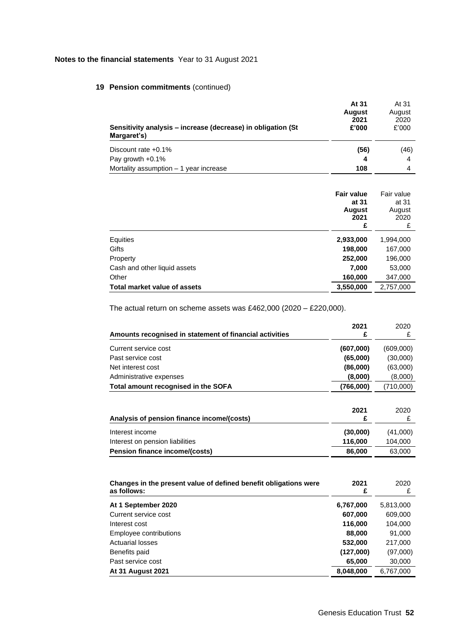## **19 Pension commitments** (continued)

| Sensitivity analysis – increase (decrease) in obligation (St.<br>Margaret's) | At 31<br><b>August</b><br>2021<br>£'000 | At 31<br>August<br>2020<br>£'000 |
|------------------------------------------------------------------------------|-----------------------------------------|----------------------------------|
| Discount rate $+0.1\%$                                                       | (56)                                    | (46)                             |
| Pay growth +0.1%                                                             | 4                                       | 4                                |
| Mortality assumption $-1$ year increase                                      | 108                                     |                                  |

|                              | <b>Fair value</b><br>at 31<br>August<br>2021<br>£ | Fair value<br>at 31<br>August<br>2020<br>£ |
|------------------------------|---------------------------------------------------|--------------------------------------------|
| Equities                     | 2,933,000                                         | 1,994,000                                  |
| Gifts                        | 198,000                                           | 167,000                                    |
| Property                     | 252,000                                           | 196,000                                    |
| Cash and other liquid assets | 7,000                                             | 53,000                                     |
| Other                        | 160,000                                           | 347,000                                    |
| Total market value of assets | 3,550,000                                         | 2,757,000                                  |

The actual return on scheme assets was £462,000 (2020 – £220,000).

| Amounts recognised in statement of financial activities                         | 2021<br>£ | 2020<br>£ |
|---------------------------------------------------------------------------------|-----------|-----------|
| Current service cost                                                            | (607,000) | (609,000) |
| Past service cost                                                               | (65,000)  | (30,000)  |
| Net interest cost                                                               | (86,000)  | (63,000)  |
| Administrative expenses                                                         | (8,000)   | (8,000)   |
| Total amount recognised in the SOFA                                             | (766,000) | (710,000) |
| Analysis of pension finance income/(costs)                                      | 2021<br>£ | 2020<br>£ |
| Interest income                                                                 | (30,000)  | (41,000)  |
| Interest on pension liabilities                                                 | 116,000   | 104,000   |
| Pension finance income/(costs)                                                  | 86,000    | 63,000    |
|                                                                                 |           |           |
| Changes in the present value of defined benefit obligations were<br>as follows: | 2021<br>£ | 2020<br>£ |
| At 1 September 2020                                                             | 6,767,000 | 5,813,000 |
| Current service cost                                                            | 607,000   | 609,000   |
| Interest cost                                                                   | 116.000   | 104,000   |
| Employee contributions                                                          | 88,000    | 91,000    |
| <b>Actuarial losses</b>                                                         | 532,000   | 217,000   |
| Benefits paid                                                                   | (127,000) | (97,000)  |
| Past service cost                                                               | 65,000    | 30,000    |
| <b>At 31 August 2021</b>                                                        | 8,048,000 | 6,767,000 |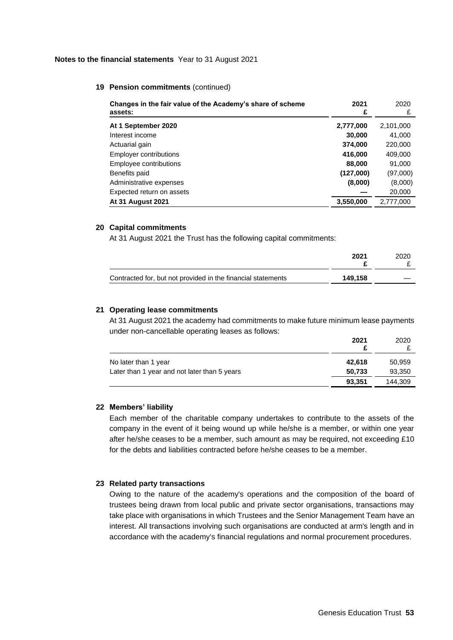#### **19 Pension commitments** (continued)

| Changes in the fair value of the Academy's share of scheme<br>assets: | 2021<br>£ | 2020<br>£ |
|-----------------------------------------------------------------------|-----------|-----------|
| At 1 September 2020                                                   | 2,777,000 | 2,101,000 |
| Interest income                                                       | 30,000    | 41,000    |
| Actuarial gain                                                        | 374,000   | 220,000   |
| <b>Employer contributions</b>                                         | 416,000   | 409,000   |
| Employee contributions                                                | 88,000    | 91,000    |
| Benefits paid                                                         | (127,000) | (97,000)  |
| Administrative expenses                                               | (8,000)   | (8,000)   |
| Expected return on assets                                             |           | 20,000    |
| <b>At 31 August 2021</b>                                              | 3,550,000 | 2,777,000 |

#### **20 Capital commitments**

At 31 August 2021 the Trust has the following capital commitments:

|                                                              | 2021    | 2020 |
|--------------------------------------------------------------|---------|------|
| Contracted for, but not provided in the financial statements | 149.158 |      |

#### **21 Operating lease commitments**

At 31 August 2021 the academy had commitments to make future minimum lease payments under non-cancellable operating leases as follows:

|                                              | 2021   | 2020    |
|----------------------------------------------|--------|---------|
| No later than 1 year                         | 42,618 | 50,959  |
| Later than 1 year and not later than 5 years | 50,733 | 93,350  |
|                                              | 93.351 | 144.309 |

#### **22 Members' liability**

Each member of the charitable company undertakes to contribute to the assets of the company in the event of it being wound up while he/she is a member, or within one year after he/she ceases to be a member, such amount as may be required, not exceeding £10 for the debts and liabilities contracted before he/she ceases to be a member.

## **23 Related party transactions**

Owing to the nature of the academy's operations and the composition of the board of trustees being drawn from local public and private sector organisations, transactions may take place with organisations in which Trustees and the Senior Management Team have an interest. All transactions involving such organisations are conducted at arm's length and in accordance with the academy's financial regulations and normal procurement procedures.